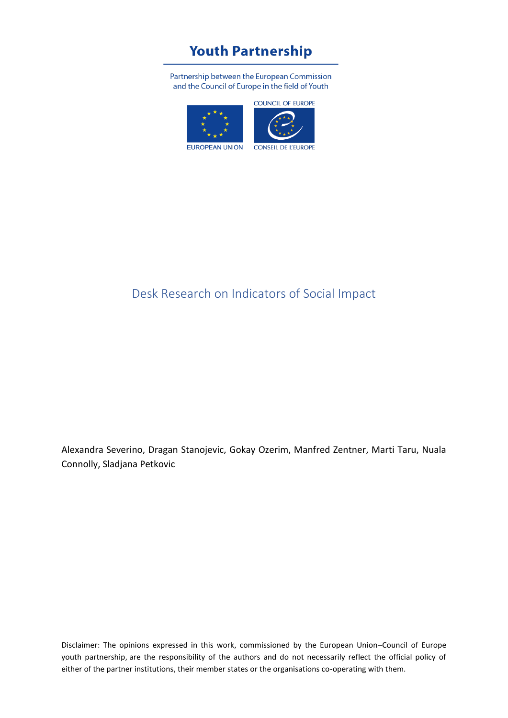# **Youth Partnership**

Partnership between the European Commission and the Council of Europe in the field of Youth



# Desk Research on Indicators of Social Impact

Alexandra Severino, Dragan Stanojevic, Gokay Ozerim, Manfred Zentner, Marti Taru, Nuala Connolly, Sladjana Petkovic

Disclaimer: The opinions expressed in this work, commissioned by the European Union–Council of Europe youth partnership, are the responsibility of the authors and do not necessarily reflect the official policy of either of the partner institutions, their member states or the organisations co-operating with them.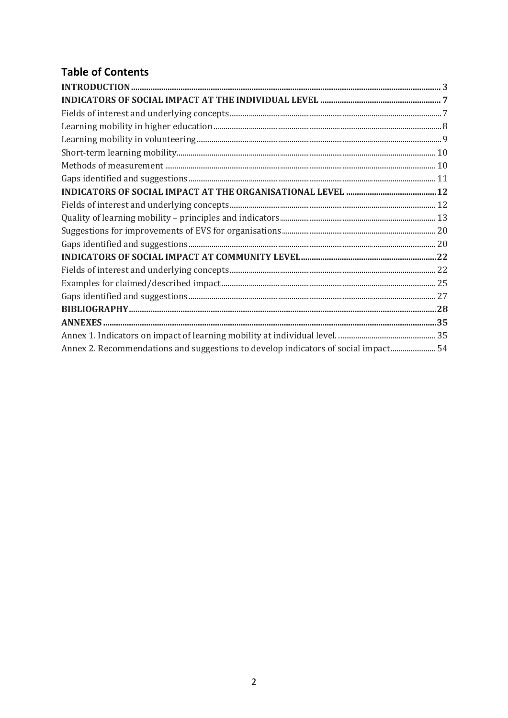## **Table of Contents**

| Annex 2. Recommendations and suggestions to develop indicators of social impact 54 |  |
|------------------------------------------------------------------------------------|--|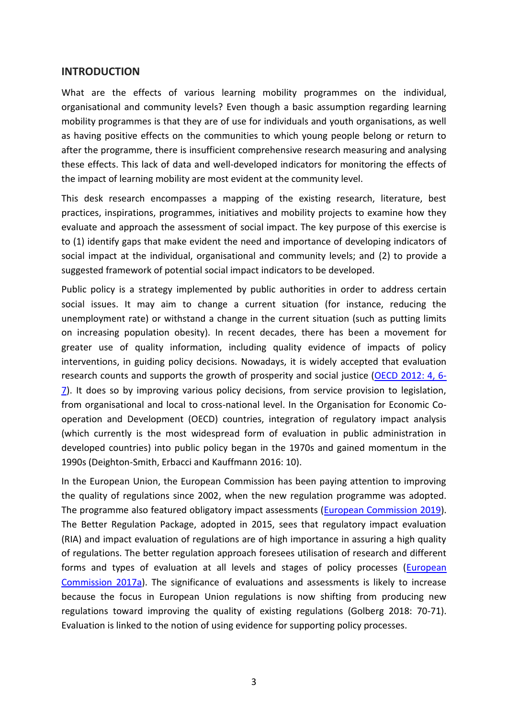#### <span id="page-2-0"></span>**INTRODUCTION**

What are the effects of various learning mobility programmes on the individual, organisational and community levels? Even though a basic assumption regarding learning mobility programmes is that they are of use for individuals and youth organisations, as well as having positive effects on the communities to which young people belong or return to after the programme, there is insufficient comprehensive research measuring and analysing these effects. This lack of data and well-developed indicators for monitoring the effects of the impact of learning mobility are most evident at the community level.

This desk research encompasses a mapping of the existing research, literature, best practices, inspirations, programmes, initiatives and mobility projects to examine how they evaluate and approach the assessment of social impact. The key purpose of this exercise is to (1) identify gaps that make evident the need and importance of developing indicators of social impact at the individual, organisational and community levels; and (2) to provide a suggested framework of potential social impact indicators to be developed.

Public policy is a strategy implemented by public authorities in order to address certain social issues. It may aim to change a current situation (for instance, reducing the unemployment rate) or withstand a change in the current situation (such as putting limits on increasing population obesity). In recent decades, there has been a movement for greater use of quality information, including quality evidence of impacts of policy interventions, in guiding policy decisions. Nowadays, it is widely accepted that evaluation research counts and supports the growth of prosperity and social justice [\(OECD 2012: 4, 6-](http://www.oecd.org/gov/regulatory-policy/49990817.pdf) [7\)](http://www.oecd.org/gov/regulatory-policy/49990817.pdf). It does so by improving various policy decisions, from service provision to legislation, from organisational and local to cross-national level. In the Organisation for Economic Cooperation and Development (OECD) countries, integration of regulatory impact analysis (which currently is the most widespread form of evaluation in public administration in developed countries) into public policy began in the 1970s and gained momentum in the 1990s (Deighton-Smith, Erbacci and Kauffmann 2016: 10).

In the European Union, the European Commission has been paying attention to improving the quality of regulations since 2002, when the new regulation programme was adopted. The programme also featured obligatory impact assessments (European [Commission 2019\)](https://ec.europa.eu/info/law/law-making-process/evaluating-and-improving-existing-laws/refit-making-eu-law-simpler-less-costly-and-future-proof_en). The Better Regulation Package, adopted in 2015, sees that regulatory impact evaluation (RIA) and impact evaluation of regulations are of high importance in assuring a high quality of regulations. The better regulation approach foresees utilisation of research and different forms and types of evaluation at all levels and stages of policy processes [\(European](https://ec.europa.eu/info/sites/default/files/better-regulation-guidelines-monitoring.pdf)  [Commission](https://ec.europa.eu/info/sites/default/files/better-regulation-guidelines-monitoring.pdf) 2017a). The significance of evaluations and assessments is likely to increase because the focus in European Union regulations is now shifting from producing new regulations toward improving the quality of existing regulations (Golberg 2018: 70-71). Evaluation is linked to the notion of using evidence for supporting policy processes.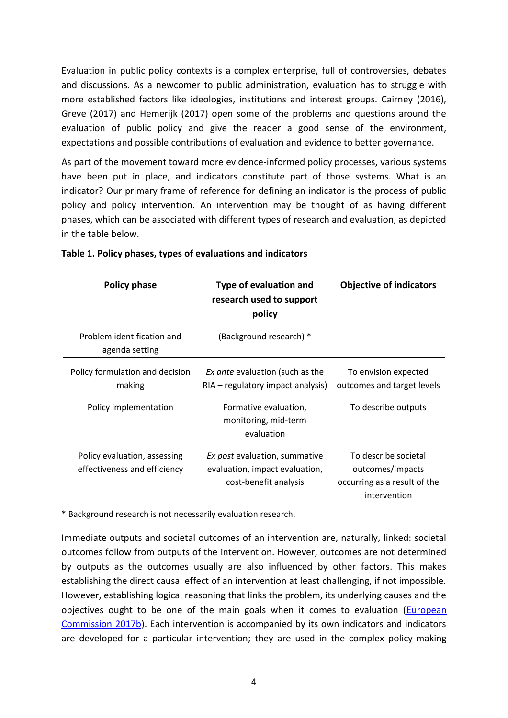Evaluation in public policy contexts is a complex enterprise, full of controversies, debates and discussions. As a newcomer to public administration, evaluation has to struggle with more established factors like ideologies, institutions and interest groups. Cairney (2016), Greve (2017) and Hemerijk (2017) open some of the problems and questions around the evaluation of public policy and give the reader a good sense of the environment, expectations and possible contributions of evaluation and evidence to better governance.

As part of the movement toward more evidence-informed policy processes, various systems have been put in place, and indicators constitute part of those systems. What is an indicator? Our primary frame of reference for defining an indicator is the process of public policy and policy intervention. An intervention may be thought of as having different phases, which can be associated with different types of research and evaluation, as depicted in the table below.

| <b>Policy phase</b>                                                | <b>Type of evaluation and</b><br>research used to support<br>policy                                                          | <b>Objective of indicators</b>                                                           |
|--------------------------------------------------------------------|------------------------------------------------------------------------------------------------------------------------------|------------------------------------------------------------------------------------------|
| Problem identification and<br>agenda setting                       | (Background research) *                                                                                                      |                                                                                          |
| Policy formulation and decision<br>making<br>Policy implementation | <i>Ex ante</i> evaluation (such as the<br>RIA – regulatory impact analysis)<br>Formative evaluation,<br>monitoring, mid-term | To envision expected<br>outcomes and target levels<br>To describe outputs                |
| Policy evaluation, assessing<br>effectiveness and efficiency       | evaluation<br>Ex post evaluation, summative<br>evaluation, impact evaluation,<br>cost-benefit analysis                       | To describe societal<br>outcomes/impacts<br>occurring as a result of the<br>intervention |

| Table 1. Policy phases, types of evaluations and indicators |  |
|-------------------------------------------------------------|--|
|-------------------------------------------------------------|--|

\* Background research is not necessarily evaluation research.

Immediate outputs and societal outcomes of an intervention are, naturally, linked: societal outcomes follow from outputs of the intervention. However, outcomes are not determined by outputs as the outcomes usually are also influenced by other factors. This makes establishing the direct causal effect of an intervention at least challenging, if not impossible. However, establishing logical reasoning that links the problem, its underlying causes and the objectives ought to be one of the main goals when it comes to evaluation [\(European](https://plataformavoluntariado.org/wp-content/uploads/2018/12/study-on-the-impact-of-transnational-volunteering-through-the-european-voluntary-service.pdf)  [Commission 2017b\)](https://plataformavoluntariado.org/wp-content/uploads/2018/12/study-on-the-impact-of-transnational-volunteering-through-the-european-voluntary-service.pdf). Each intervention is accompanied by its own indicators and indicators are developed for a particular intervention; they are used in the complex policy-making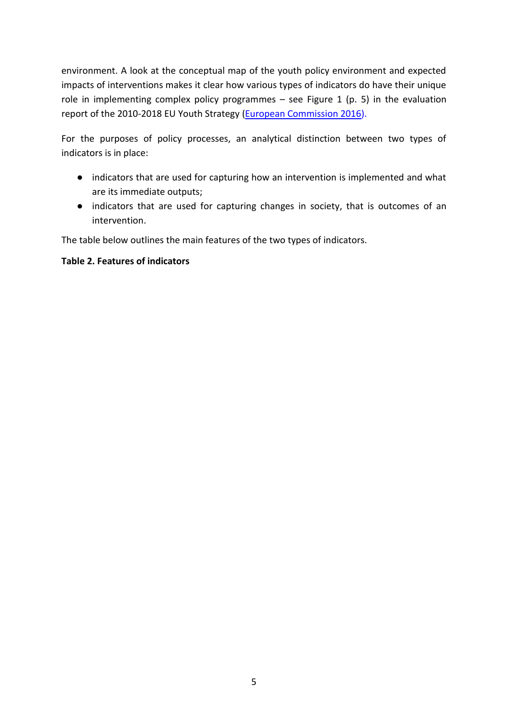environment. A look at the conceptual map of the youth policy environment and expected impacts of interventions makes it clear how various types of indicators do have their unique role in implementing complex policy programmes  $-$  see Figure 1 (p. 5) in the evaluation report of the 2010-2018 EU Youth Strategy [\(European Commission 2016\).](https://op.europa.eu/en/publication-detail/-/publication/553867b6-2885-11e6-b616-01aa75ed71a1)

For the purposes of policy processes, an analytical distinction between two types of indicators is in place:

- indicators that are used for capturing how an intervention is implemented and what are its immediate outputs;
- indicators that are used for capturing changes in society, that is outcomes of an intervention.

The table below outlines the main features of the two types of indicators.

## **Table 2. Features of indicators**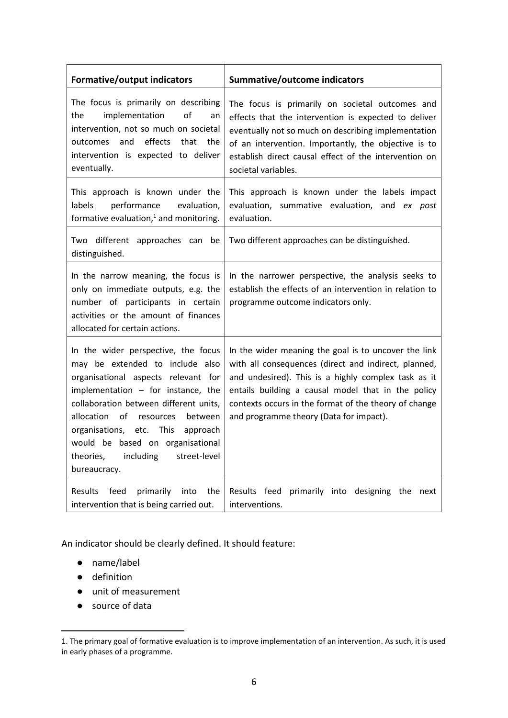| <b>Formative/output indicators</b>                                                                                                                                                                                                                                                                                                                                                   | Summative/outcome indicators                                                                                                                                                                                                                                                                                                  |
|--------------------------------------------------------------------------------------------------------------------------------------------------------------------------------------------------------------------------------------------------------------------------------------------------------------------------------------------------------------------------------------|-------------------------------------------------------------------------------------------------------------------------------------------------------------------------------------------------------------------------------------------------------------------------------------------------------------------------------|
| The focus is primarily on describing<br>of<br>implementation<br>the<br>an<br>intervention, not so much on societal<br>effects<br>and<br>that<br>outcomes<br>the<br>intervention is expected to deliver<br>eventually.                                                                                                                                                                | The focus is primarily on societal outcomes and<br>effects that the intervention is expected to deliver<br>eventually not so much on describing implementation<br>of an intervention. Importantly, the objective is to<br>establish direct causal effect of the intervention on<br>societal variables.                        |
| This approach is known under the<br>labels<br>performance<br>evaluation,<br>formative evaluation, $1$ and monitoring.                                                                                                                                                                                                                                                                | This approach is known under the labels impact<br>evaluation, summative evaluation, and ex post<br>evaluation.                                                                                                                                                                                                                |
| Two different approaches can<br>be<br>distinguished.                                                                                                                                                                                                                                                                                                                                 | Two different approaches can be distinguished.                                                                                                                                                                                                                                                                                |
| In the narrow meaning, the focus is<br>only on immediate outputs, e.g. the<br>number of participants in certain<br>activities or the amount of finances<br>allocated for certain actions.                                                                                                                                                                                            | In the narrower perspective, the analysis seeks to<br>establish the effects of an intervention in relation to<br>programme outcome indicators only.                                                                                                                                                                           |
| In the wider perspective, the focus<br>may be extended to include also<br>organisational aspects relevant for<br>implementation $-$ for instance, the<br>collaboration between different units,<br>of<br>allocation<br>resources<br>between<br>organisations,<br>etc. This<br>approach<br>would be based on organisational<br>including<br>street-level<br>theories,<br>bureaucracy. | In the wider meaning the goal is to uncover the link<br>with all consequences (direct and indirect, planned,<br>and undesired). This is a highly complex task as it<br>entails building a causal model that in the policy<br>contexts occurs in the format of the theory of change<br>and programme theory (Data for impact). |
| <b>Results</b><br>feed<br>primarily<br>into<br>the<br>intervention that is being carried out.                                                                                                                                                                                                                                                                                        | primarily into<br>Results feed<br>designing the<br>next<br>interventions.                                                                                                                                                                                                                                                     |

An indicator should be clearly defined. It should feature:

- name/label
- definition
- unit of measurement
- source of data

<sup>1.</sup> The primary goal of formative evaluation is to improve implementation of an intervention. As such, it is used in early phases of a programme.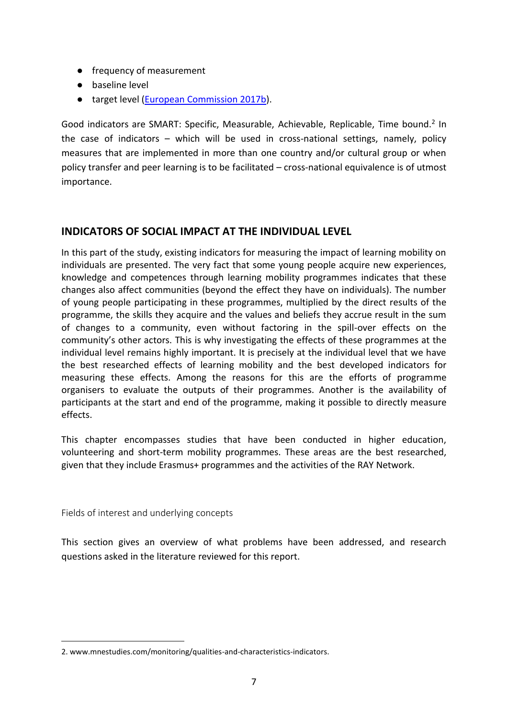- frequency of measurement
- baseline level
- target level [\(European Commission](https://plataformavoluntariado.org/wp-content/uploads/2018/12/study-on-the-impact-of-transnational-volunteering-through-the-european-voluntary-service.pdf) 2017b).

Good indicators are SMART: Specific, Measurable, Achievable, Replicable, Time bound.<sup>2</sup> In the case of indicators – which will be used in cross-national settings, namely, policy measures that are implemented in more than one country and/or cultural group or when policy transfer and peer learning is to be facilitated – cross-national equivalence is of utmost importance.

## <span id="page-6-0"></span>**INDICATORS OF SOCIAL IMPACT AT THE INDIVIDUAL LEVEL**

In this part of the study, existing indicators for measuring the impact of learning mobility on individuals are presented. The very fact that some young people acquire new experiences, knowledge and competences through learning mobility programmes indicates that these changes also affect communities (beyond the effect they have on individuals). The number of young people participating in these programmes, multiplied by the direct results of the programme, the skills they acquire and the values and beliefs they accrue result in the sum of changes to a community, even without factoring in the spill-over effects on the community's other actors. This is why investigating the effects of these programmes at the individual level remains highly important. It is precisely at the individual level that we have the best researched effects of learning mobility and the best developed indicators for measuring these effects. Among the reasons for this are the efforts of programme organisers to evaluate the outputs of their programmes. Another is the availability of participants at the start and end of the programme, making it possible to directly measure effects.

This chapter encompasses studies that have been conducted in higher education, volunteering and short-term mobility programmes. These areas are the best researched, given that they include Erasmus+ programmes and the activities of the RAY Network.

<span id="page-6-1"></span>Fields of interest and underlying concepts

This section gives an overview of what problems have been addressed, and research questions asked in the literature reviewed for this report.

<sup>2.</sup> www.mnestudies.com/monitoring/qualities-and-characteristics-indicators.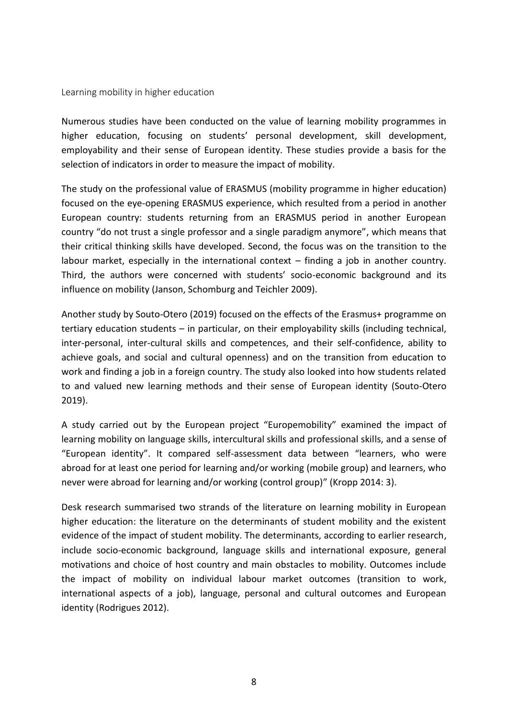<span id="page-7-0"></span>Learning mobility in higher education

Numerous studies have been conducted on the value of learning mobility programmes in higher education, focusing on students' personal development, skill development, employability and their sense of European identity. These studies provide a basis for the selection of indicators in order to measure the impact of mobility.

The study on the professional value of ERASMUS (mobility programme in higher education) focused on the eye-opening ERASMUS experience, which resulted from a period in another European country: students returning from an ERASMUS period in another European country "do not trust a single professor and a single paradigm anymore", which means that their critical thinking skills have developed. Second, the focus was on the transition to the labour market, especially in the international context – finding a job in another country. Third, the authors were concerned with students' socio-economic background and its influence on mobility (Janson, Schomburg and Teichler 2009).

Another study by Souto-Otero (2019) focused on the effects of the Erasmus+ programme on tertiary education students – in particular, on their employability skills (including technical, inter-personal, inter-cultural skills and competences, and their self-confidence, ability to achieve goals, and social and cultural openness) and on the transition from education to work and finding a job in a foreign country. The study also looked into how students related to and valued new learning methods and their sense of European identity (Souto-Otero 2019).

A study carried out by the European project "Europemobility" examined the impact of learning mobility on language skills, intercultural skills and professional skills, and a sense of "European identity". It compared self-assessment data between "learners, who were abroad for at least one period for learning and/or working (mobile group) and learners, who never were abroad for learning and/or working (control group)" (Kropp 2014: 3).

Desk research summarised two strands of the literature on learning mobility in European higher education: the literature on the determinants of student mobility and the existent evidence of the impact of student mobility. The determinants, according to earlier research, include socio-economic background, language skills and international exposure, general motivations and choice of host country and main obstacles to mobility. Outcomes include the impact of mobility on individual labour market outcomes (transition to work, international aspects of a job), language, personal and cultural outcomes and European identity (Rodrigues 2012).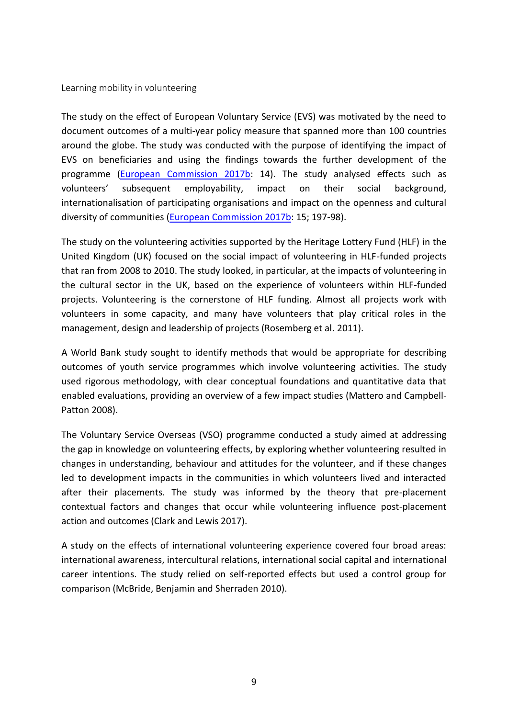<span id="page-8-0"></span>Learning mobility in volunteering

The study on the effect of European Voluntary Service (EVS) was motivated by the need to document outcomes of a multi-year policy measure that spanned more than 100 countries around the globe. The study was conducted with the purpose of identifying the impact of EVS on beneficiaries and using the findings towards the further development of the programme [\(European Commission](https://plataformavoluntariado.org/wp-content/uploads/2018/12/study-on-the-impact-of-transnational-volunteering-through-the-european-voluntary-service.pdf) 2017b: 14). The study analysed effects such as volunteers' subsequent employability, impact on their social background, internationalisation of participating organisations and impact on the openness and cultural diversity of communities [\(European Commission 2017b:](https://plataformavoluntariado.org/wp-content/uploads/2018/12/study-on-the-impact-of-transnational-volunteering-through-the-european-voluntary-service.pdf) 15; 197-98).

The study on the volunteering activities supported by the Heritage Lottery Fund (HLF) in the United Kingdom (UK) focused on the social impact of volunteering in HLF-funded projects that ran from 2008 to 2010. The study looked, in particular, at the impacts of volunteering in the cultural sector in the UK, based on the experience of volunteers within HLF-funded projects. Volunteering is the cornerstone of HLF funding. Almost all projects work with volunteers in some capacity, and many have volunteers that play critical roles in the management, design and leadership of projects (Rosemberg et al. 2011).

A World Bank study sought to identify methods that would be appropriate for describing outcomes of youth service programmes which involve volunteering activities. The study used rigorous methodology, with clear conceptual foundations and quantitative data that enabled evaluations, providing an overview of a few impact studies (Mattero and Campbell-Patton 2008).

The Voluntary Service Overseas (VSO) programme conducted a study aimed at addressing the gap in knowledge on volunteering effects, by exploring whether volunteering resulted in changes in understanding, behaviour and attitudes for the volunteer, and if these changes led to development impacts in the communities in which volunteers lived and interacted after their placements. The study was informed by the theory that pre-placement contextual factors and changes that occur while volunteering influence post-placement action and outcomes (Clark and Lewis 2017).

A study on the effects of international volunteering experience covered four broad areas: international awareness, intercultural relations, international social capital and international career intentions. The study relied on self-reported effects but used a control group for comparison (McBride, Benjamin and Sherraden 2010).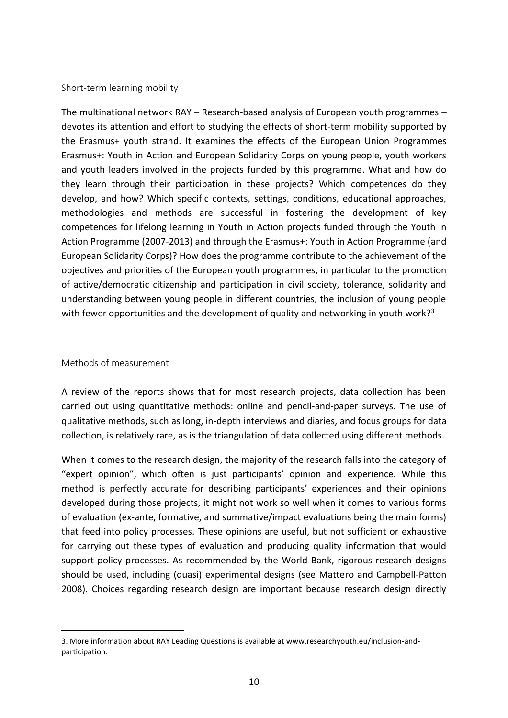<span id="page-9-0"></span>Short-term learning mobility

The multinational network RAY – [Research-based analysis of European youth programmes](https://www.researchyouth.net/) – devotes its attention and effort to studying the effects of short-term mobility supported by the Erasmus+ youth strand. It examines the effects of the European Union Programmes Erasmus+: Youth in Action and European Solidarity Corps on young people, youth workers and youth leaders involved in the projects funded by this programme. What and how do they learn through their participation in these projects? Which competences do they develop, and how? Which specific contexts, settings, conditions, educational approaches, methodologies and methods are successful in fostering the development of key competences for lifelong learning in Youth in Action projects funded through the Youth in Action Programme (2007-2013) and through the Erasmus+: Youth in Action Programme (and European Solidarity Corps)? How does the programme contribute to the achievement of the objectives and priorities of the European youth programmes, in particular to the promotion of active/democratic citizenship and participation in civil society, tolerance, solidarity and understanding between young people in different countries, the inclusion of young people with fewer opportunities and the development of quality and networking in youth work?<sup>3</sup>

#### <span id="page-9-1"></span>Methods of measurement

A review of the reports shows that for most research projects, data collection has been carried out using quantitative methods: online and pencil-and-paper surveys. The use of qualitative methods, such as long, in-depth interviews and diaries, and focus groups for data collection, is relatively rare, as is the triangulation of data collected using different methods.

When it comes to the research design, the majority of the research falls into the category of "expert opinion", which often is just participants' opinion and experience. While this method is perfectly accurate for describing participants' experiences and their opinions developed during those projects, it might not work so well when it comes to various forms of evaluation (ex-ante, formative, and summative/impact evaluations being the main forms) that feed into policy processes. These opinions are useful, but not sufficient or exhaustive for carrying out these types of evaluation and producing quality information that would support policy processes. As recommended by the World Bank, rigorous research designs should be used, including (quasi) experimental designs (see Mattero and Campbell-Patton 2008). Choices regarding research design are important because research design directly

<sup>3.</sup> More information about RAY Leading Questions is available at www.researchyouth.eu/inclusion-andparticipation.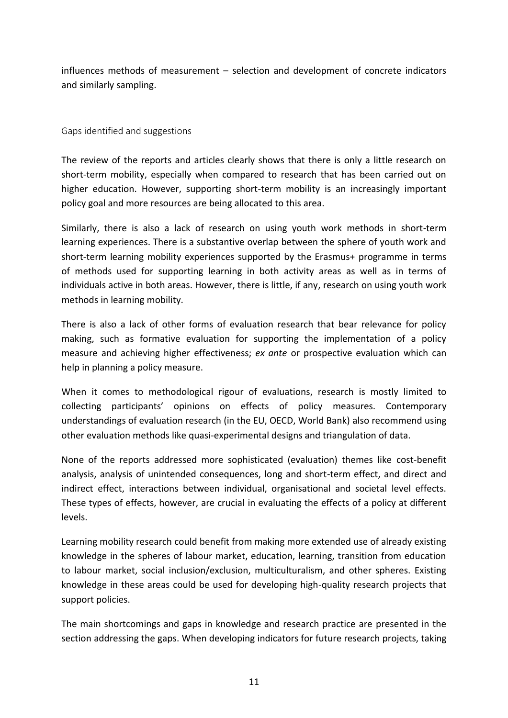influences methods of measurement – selection and development of concrete indicators and similarly sampling.

<span id="page-10-0"></span>Gaps identified and suggestions

The review of the reports and articles clearly shows that there is only a little research on short-term mobility, especially when compared to research that has been carried out on higher education. However, supporting short-term mobility is an increasingly important policy goal and more resources are being allocated to this area.

Similarly, there is also a lack of research on using youth work methods in short-term learning experiences. There is a substantive overlap between the sphere of youth work and short-term learning mobility experiences supported by the Erasmus+ programme in terms of methods used for supporting learning in both activity areas as well as in terms of individuals active in both areas. However, there is little, if any, research on using youth work methods in learning mobility.

There is also a lack of other forms of evaluation research that bear relevance for policy making, such as formative evaluation for supporting the implementation of a policy measure and achieving higher effectiveness; *ex ante* or prospective evaluation which can help in planning a policy measure.

When it comes to methodological rigour of evaluations, research is mostly limited to collecting participants' opinions on effects of policy measures. Contemporary understandings of evaluation research (in the EU, OECD, World Bank) also recommend using other evaluation methods like quasi-experimental designs and triangulation of data.

None of the reports addressed more sophisticated (evaluation) themes like cost-benefit analysis, analysis of unintended consequences, long and short-term effect, and direct and indirect effect, interactions between individual, organisational and societal level effects. These types of effects, however, are crucial in evaluating the effects of a policy at different levels.

Learning mobility research could benefit from making more extended use of already existing knowledge in the spheres of labour market, education, learning, transition from education to labour market, social inclusion/exclusion, multiculturalism, and other spheres. Existing knowledge in these areas could be used for developing high-quality research projects that support policies.

The main shortcomings and gaps in knowledge and research practice are presented in the section addressing the gaps. When developing indicators for future research projects, taking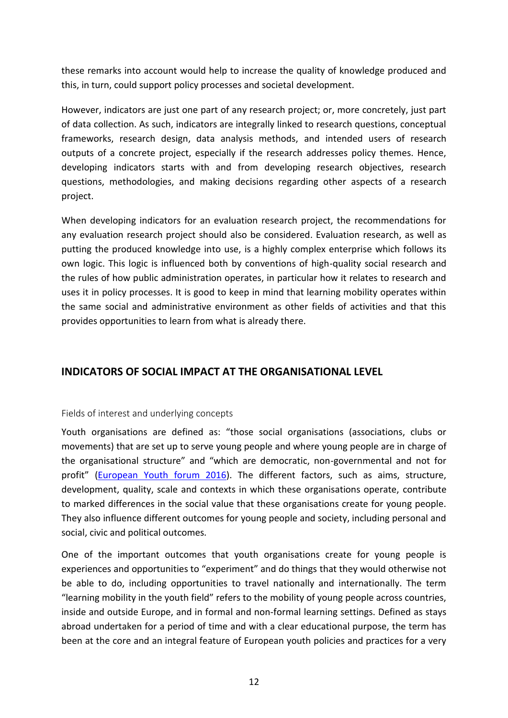these remarks into account would help to increase the quality of knowledge produced and this, in turn, could support policy processes and societal development.

However, indicators are just one part of any research project; or, more concretely, just part of data collection. As such, indicators are integrally linked to research questions, conceptual frameworks, research design, data analysis methods, and intended users of research outputs of a concrete project, especially if the research addresses policy themes. Hence, developing indicators starts with and from developing research objectives, research questions, methodologies, and making decisions regarding other aspects of a research project.

When developing indicators for an evaluation research project, the recommendations for any evaluation research project should also be considered. Evaluation research, as well as putting the produced knowledge into use, is a highly complex enterprise which follows its own logic. This logic is influenced both by conventions of high-quality social research and the rules of how public administration operates, in particular how it relates to research and uses it in policy processes. It is good to keep in mind that learning mobility operates within the same social and administrative environment as other fields of activities and that this provides opportunities to learn from what is already there.

## <span id="page-11-0"></span>**INDICATORS OF SOCIAL IMPACT AT THE ORGANISATIONAL LEVEL**

## <span id="page-11-1"></span>Fields of interest and underlying concepts

Youth organisations are defined as: "those social organisations (associations, clubs or movements) that are set up to serve young people and where young people are in charge of the organisational structure" and "which are democratic, non-governmental and not for profit" [\(European Youth forum 2016\)](http://www.youthforum.org/sites/default/files/publication-pdfs/YFJ_StudyOnTheSocialValueOfYouthOrganisations_1P1.pdf). The different factors, such as aims, structure, development, quality, scale and contexts in which these organisations operate, contribute to marked differences in the social value that these organisations create for young people. They also influence different outcomes for young people and society, including personal and social, civic and political outcomes*.*

One of the important outcomes that youth organisations create for young people is experiences and opportunities to "experiment" and do things that they would otherwise not be able to do, including opportunities to travel nationally and internationally. The term "learning mobility in the youth field" refers to the mobility of young people across countries, inside and outside Europe, and in formal and non-formal learning settings. Defined as stays abroad undertaken for a period of time and with a clear educational purpose, the term has been at the core and an integral feature of European youth policies and practices for a very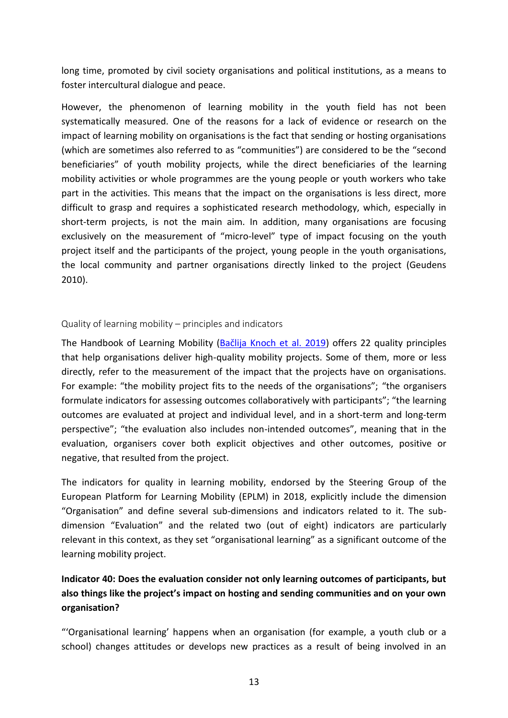long time, promoted by civil society organisations and political institutions, as a means to foster intercultural dialogue and peace.

However, the phenomenon of learning mobility in the youth field has not been systematically measured. One of the reasons for a lack of evidence or research on the impact of learning mobility on organisations is the fact that sending or hosting organisations (which are sometimes also referred to as "communities") are considered to be the "second beneficiaries" of youth mobility projects, while the direct beneficiaries of the learning mobility activities or whole programmes are the young people or youth workers who take part in the activities. This means that the impact on the organisations is less direct, more difficult to grasp and requires a sophisticated research methodology, which, especially in short-term projects, is not the main aim. In addition, many organisations are focusing exclusively on the measurement of "micro-level" type of impact focusing on the youth project itself and the participants of the project, young people in the youth organisations, the local community and partner organisations directly linked to the project (Geudens 2010).

## <span id="page-12-0"></span>Quality of learning mobility – principles and indicators

The Handbook of Learning Mobility ([Bačlija Knoch et al. 2019](https://pjp-eu.coe.int/documents/42128013/47261953/Handbook+LM/3a5c103c-0367-4eba-1aca-ee544826f557)) offers 22 quality principles that help organisations deliver high-quality mobility projects. Some of them, more or less directly, refer to the measurement of the impact that the projects have on organisations. For example: "the mobility project fits to the needs of the organisations"; "the organisers formulate indicators for assessing outcomes collaboratively with participants"; "the learning outcomes are evaluated at project and individual level, and in a short-term and long-term perspective"; "the evaluation also includes non-intended outcomes", meaning that in the evaluation, organisers cover both explicit objectives and other outcomes, positive or negative, that resulted from the project.

The indicators for quality in learning mobility, endorsed by the Steering Group of the European Platform for Learning Mobility (EPLM) in 2018, explicitly include the dimension "Organisation" and define several sub-dimensions and indicators related to it. The subdimension "Evaluation" and the related two (out of eight) indicators are particularly relevant in this context, as they set "organisational learning" as a significant outcome of the learning mobility project.

## **Indicator 40: Does the evaluation consider not only learning outcomes of participants, but also things like the project's impact on hosting and sending communities and on your own organisation?**

"'Organisational learning' happens when an organisation (for example, a youth club or a school) changes attitudes or develops new practices as a result of being involved in an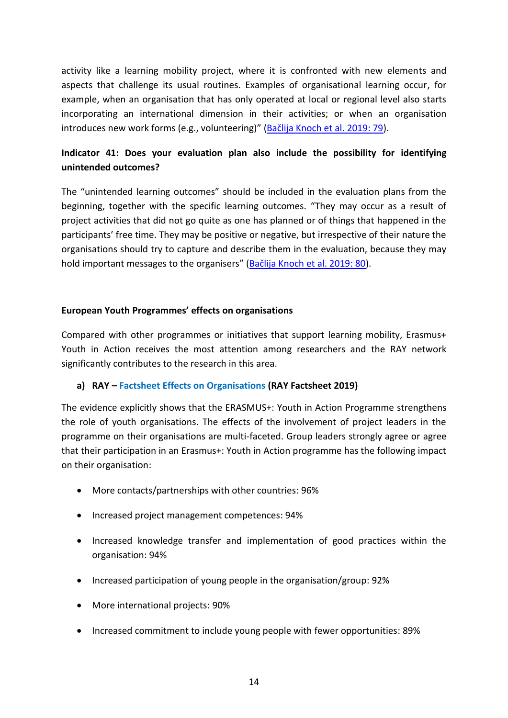activity like a learning mobility project, where it is confronted with new elements and aspects that challenge its usual routines. Examples of organisational learning occur, for example, when an organisation that has only operated at local or regional level also starts incorporating an international dimension in their activities; or when an organisation introduces new work forms (e.g., volunteering)" ([Bačlija Knoch et al. 2019: 79](https://pjp-eu.coe.int/documents/42128013/47261953/Handbook+LM/3a5c103c-0367-4eba-1aca-ee544826f557)).

## **Indicator 41: Does your evaluation plan also include the possibility for identifying unintended outcomes?**

The "unintended learning outcomes" should be included in the evaluation plans from the beginning, together with the specific learning outcomes. "They may occur as a result of project activities that did not go quite as one has planned or of things that happened in the participants' free time. They may be positive or negative, but irrespective of their nature the organisations should try to capture and describe them in the evaluation, because they may hold important messages to the organisers" ([Bačlija Knoch et al. 2019: 80](https://pjp-eu.coe.int/documents/42128013/47261953/Handbook+LM/3a5c103c-0367-4eba-1aca-ee544826f557)).

## **European Youth Programmes' effects on organisations**

Compared with other programmes or initiatives that support learning mobility, Erasmus+ Youth in Action receives the most attention among researchers and the RAY network significantly contributes to the research in this area.

## **a) RAY – [Factsheet Effects on Organisations](https://www.researchyouth.eu/download?id=187) (RAY Factsheet 2019)**

The evidence explicitly shows that the ERASMUS+: Youth in Action Programme strengthens the role of youth organisations. The effects of the involvement of project leaders in the programme on their organisations are multi-faceted. Group leaders strongly agree or agree that their participation in an Erasmus+: Youth in Action programme has the following impact on their organisation:

- More contacts/partnerships with other countries: 96%
- Increased project management competences: 94%
- Increased knowledge transfer and implementation of good practices within the organisation: 94%
- Increased participation of young people in the organisation/group: 92%
- More international projects: 90%
- Increased commitment to include young people with fewer opportunities: 89%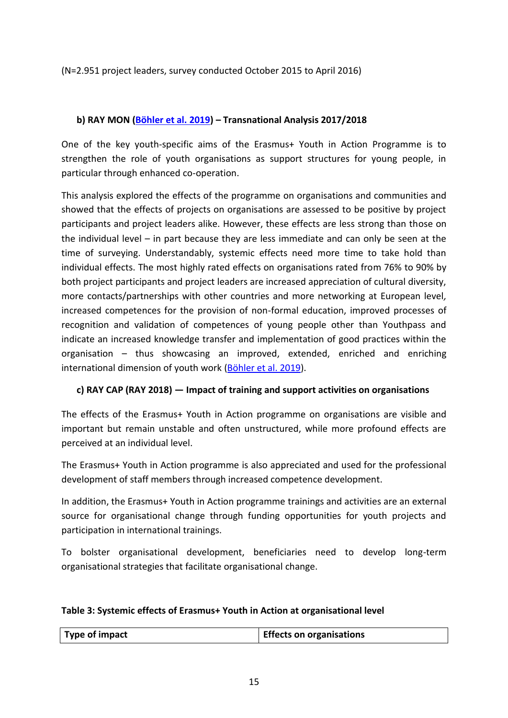(N=2.951 project leaders, survey conducted October 2015 to April 2016)

## **b) RAY MON [\(Böhler et al. 2019\)](https://www.researchyouth.net/wp-content/uploads/2021/11/RAY-MON_Data-Report-20142020_20211108.pdf) – Transnational Analysis 2017/2018**

One of the key youth-specific aims of the Erasmus+ Youth in Action Programme is to strengthen the role of youth organisations as support structures for young people, in particular through enhanced co-operation.

This analysis explored the effects of the programme on organisations and communities and showed that the effects of projects on organisations are assessed to be positive by project participants and project leaders alike. However, these effects are less strong than those on the individual level – in part because they are less immediate and can only be seen at the time of surveying. Understandably, systemic effects need more time to take hold than individual effects. The most highly rated effects on organisations rated from 76% to 90% by both project participants and project leaders are increased appreciation of cultural diversity, more contacts/partnerships with other countries and more networking at European level*,*  increased competences for the provision of non-formal education, improved processes of recognition and validation of competences of young people other than Youthpass and indicate an increased knowledge transfer and implementation of good practices within the organisation – thus showcasing an improved, extended, enriched and enriching international dimension of youth work [\(Böhler et al. 2019\)](https://www.researchyouth.net/wp-content/uploads/2021/11/RAY-MON_Data-Report-20142020_20211108.pdf).

## **c) RAY CAP (RAY 2018) — Impact of training and support activities on organisations**

The effects of the Erasmus+ Youth in Action programme on organisations are visible and important but remain unstable and often unstructured, while more profound effects are perceived at an individual level.

The Erasmus+ Youth in Action programme is also appreciated and used for the professional development of staff members through increased competence development.

In addition, the Erasmus+ Youth in Action programme trainings and activities are an external source for organisational change through funding opportunities for youth projects and participation in international trainings.

To bolster organisational development, beneficiaries need to develop long-term organisational strategies that facilitate organisational change.

## **Table 3: Systemic effects of Erasmus+ Youth in Action at organisational level**

|  | Type of impact | <b>Effects on organisations</b> |
|--|----------------|---------------------------------|
|--|----------------|---------------------------------|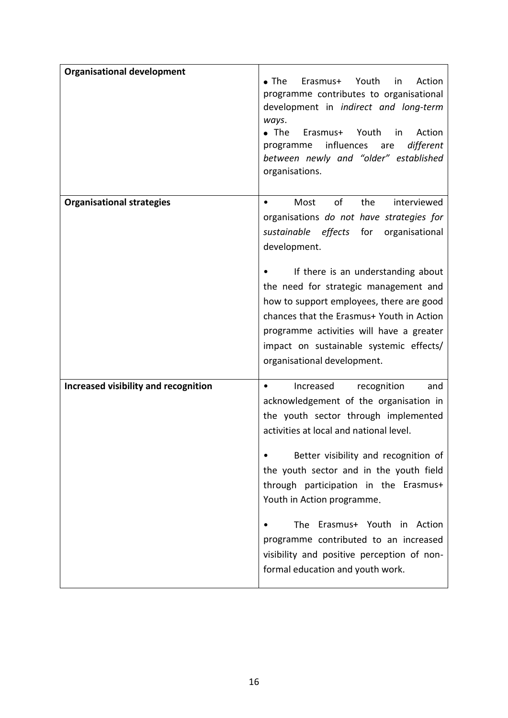| <b>Organisational development</b>    | $\bullet$ The<br>Erasmus+ Youth<br>in<br>Action<br>programme contributes to organisational<br>development in indirect and long-term<br>ways.<br>$\bullet$ The<br>Erasmus+<br>Youth<br>Action<br>in.<br>influences<br>different<br>programme<br>are<br>between newly and "older" established<br>organisations.                                                                                                                                                                                       |
|--------------------------------------|-----------------------------------------------------------------------------------------------------------------------------------------------------------------------------------------------------------------------------------------------------------------------------------------------------------------------------------------------------------------------------------------------------------------------------------------------------------------------------------------------------|
| <b>Organisational strategies</b>     | of<br>the<br>Most<br>interviewed<br>$\bullet$<br>organisations do not have strategies for<br>sustainable effects for organisational<br>development.<br>If there is an understanding about<br>the need for strategic management and<br>how to support employees, there are good<br>chances that the Erasmus+ Youth in Action<br>programme activities will have a greater<br>impact on sustainable systemic effects/<br>organisational development.                                                   |
| Increased visibility and recognition | Increased<br>recognition<br>$\bullet$<br>and<br>acknowledgement of the organisation in<br>the youth sector through implemented<br>activities at local and national level.<br>Better visibility and recognition of<br>the youth sector and in the youth field<br>through participation in the Erasmus+<br>Youth in Action programme.<br>Erasmus+ Youth in Action<br>The l<br>programme contributed to an increased<br>visibility and positive perception of non-<br>formal education and youth work. |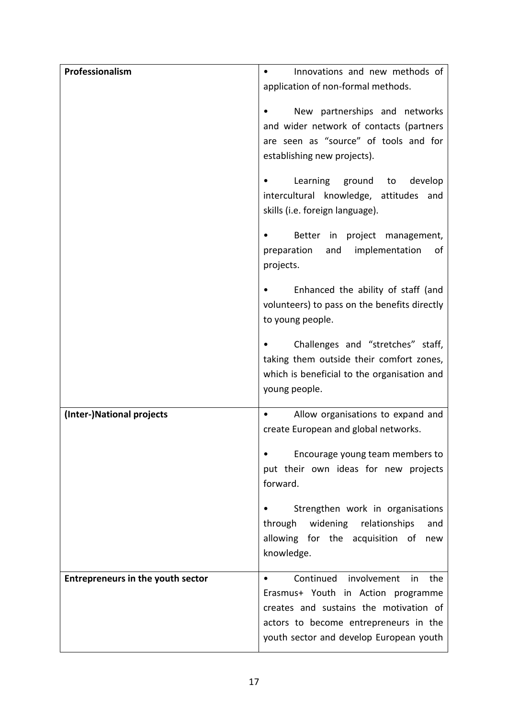| Professionalism                          | Innovations and new methods of                                            |
|------------------------------------------|---------------------------------------------------------------------------|
|                                          | application of non-formal methods.                                        |
|                                          |                                                                           |
|                                          | New partnerships and networks                                             |
|                                          | and wider network of contacts (partners                                   |
|                                          | are seen as "source" of tools and for                                     |
|                                          | establishing new projects).                                               |
|                                          | Learning ground<br>develop<br>to                                          |
|                                          | intercultural knowledge, attitudes and                                    |
|                                          | skills (i.e. foreign language).                                           |
|                                          |                                                                           |
|                                          | Better in project management,                                             |
|                                          | preparation<br>implementation<br>and<br>οf                                |
|                                          | projects.                                                                 |
|                                          | Enhanced the ability of staff (and                                        |
|                                          | volunteers) to pass on the benefits directly                              |
|                                          | to young people.                                                          |
|                                          | Challenges and "stretches" staff,                                         |
|                                          | taking them outside their comfort zones,                                  |
|                                          | which is beneficial to the organisation and                               |
|                                          | young people.                                                             |
| (Inter-)National projects                | $\bullet$                                                                 |
|                                          | Allow organisations to expand and<br>create European and global networks. |
|                                          |                                                                           |
|                                          | Encourage young team members to                                           |
|                                          | put their own ideas for new projects                                      |
|                                          | forward.                                                                  |
|                                          | Strengthen work in organisations                                          |
|                                          | through widening relationships<br>and                                     |
|                                          | allowing for the acquisition of<br>new                                    |
|                                          | knowledge.                                                                |
| <b>Entrepreneurs in the youth sector</b> | Continued involvement<br>the<br>in<br>$\bullet$                           |
|                                          | Erasmus+ Youth in Action programme                                        |
|                                          | creates and sustains the motivation of                                    |
|                                          | actors to become entrepreneurs in the                                     |
|                                          | youth sector and develop European youth                                   |
|                                          |                                                                           |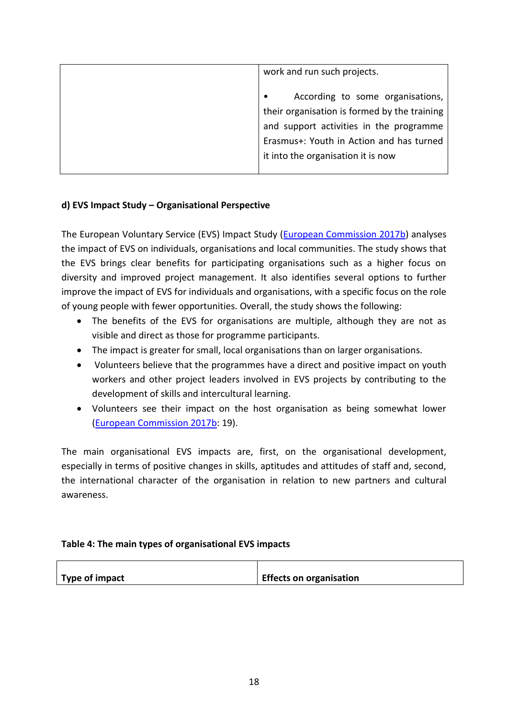|                                    | work and run such projects.                  |  |
|------------------------------------|----------------------------------------------|--|
|                                    | According to some organisations,             |  |
|                                    | their organisation is formed by the training |  |
|                                    | and support activities in the programme      |  |
|                                    | Erasmus+: Youth in Action and has turned     |  |
| it into the organisation it is now |                                              |  |
|                                    |                                              |  |

## **d) EVS Impact Study – Organisational Perspective**

The European Voluntary Service (EVS) Impact Study [\(European Commission 2017b\)](https://plataformavoluntariado.org/wp-content/uploads/2018/12/study-on-the-impact-of-transnational-volunteering-through-the-european-voluntary-service.pdf) analyses the impact of EVS on individuals, organisations and local communities. The study shows that the EVS brings clear benefits for participating organisations such as a higher focus on diversity and improved project management. It also identifies several options to further improve the impact of EVS for individuals and organisations, with a specific focus on the role of young people with fewer opportunities. Overall, the study shows the following:

- The benefits of the EVS for organisations are multiple, although they are not as visible and direct as those for programme participants.
- The impact is greater for small, local organisations than on larger organisations.
- Volunteers believe that the programmes have a direct and positive impact on youth workers and other project leaders involved in EVS projects by contributing to the development of skills and intercultural learning.
- Volunteers see their impact on the host organisation as being somewhat lower [\(European Commission 2017b:](https://plataformavoluntariado.org/wp-content/uploads/2018/12/study-on-the-impact-of-transnational-volunteering-through-the-european-voluntary-service.pdf) 19).

The main organisational EVS impacts are, first, on the organisational development, especially in terms of positive changes in skills, aptitudes and attitudes of staff and, second, the international character of the organisation in relation to new partners and cultural awareness.

## **Table 4: The main types of organisational EVS impacts**

| Type of impact | <b>Effects on organisation</b> |
|----------------|--------------------------------|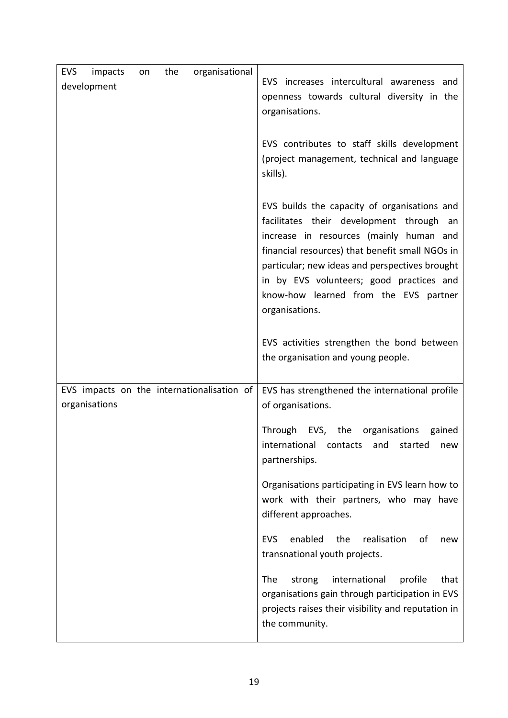| <b>EVS</b><br>impacts<br>development | on | the | organisational                             | EVS increases intercultural awareness and<br>openness towards cultural diversity in the<br>organisations.                                                                                                                                                                                                                                          |
|--------------------------------------|----|-----|--------------------------------------------|----------------------------------------------------------------------------------------------------------------------------------------------------------------------------------------------------------------------------------------------------------------------------------------------------------------------------------------------------|
|                                      |    |     |                                            | EVS contributes to staff skills development<br>(project management, technical and language<br>skills).                                                                                                                                                                                                                                             |
|                                      |    |     |                                            | EVS builds the capacity of organisations and<br>facilitates their development through<br>an<br>increase in resources (mainly human and<br>financial resources) that benefit small NGOs in<br>particular; new ideas and perspectives brought<br>in by EVS volunteers; good practices and<br>know-how learned from the EVS partner<br>organisations. |
|                                      |    |     |                                            | EVS activities strengthen the bond between<br>the organisation and young people.                                                                                                                                                                                                                                                                   |
| organisations                        |    |     | EVS impacts on the internationalisation of | EVS has strengthened the international profile<br>of organisations.                                                                                                                                                                                                                                                                                |
|                                      |    |     |                                            | Through EVS, the organisations<br>gained<br>international contacts and started<br>new<br>partnerships.                                                                                                                                                                                                                                             |
|                                      |    |     |                                            | Organisations participating in EVS learn how to<br>work with their partners, who may have<br>different approaches.                                                                                                                                                                                                                                 |
|                                      |    |     |                                            | enabled<br>the<br>realisation<br><b>EVS</b><br>οf<br>new<br>transnational youth projects.                                                                                                                                                                                                                                                          |
|                                      |    |     |                                            | international<br>that<br>The<br>strong<br>profile<br>organisations gain through participation in EVS<br>projects raises their visibility and reputation in<br>the community.                                                                                                                                                                       |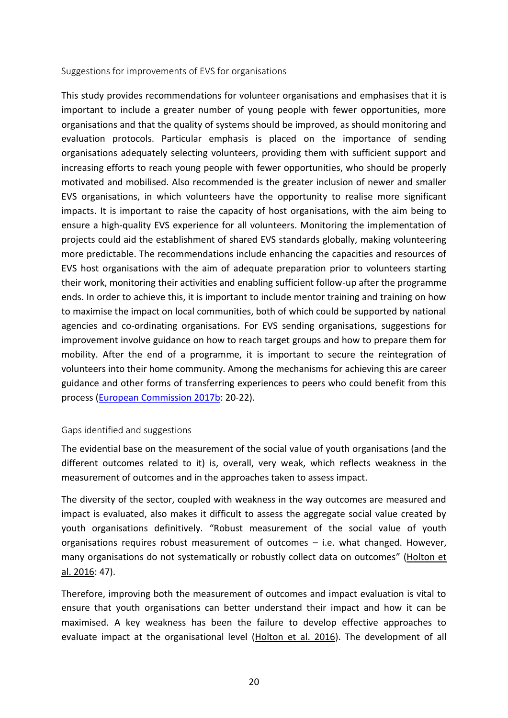#### <span id="page-19-0"></span>Suggestions for improvements of EVS for organisations

This study provides recommendations for volunteer organisations and emphasises that it is important to include a greater number of young people with fewer opportunities, more organisations and that the quality of systems should be improved, as should monitoring and evaluation protocols. Particular emphasis is placed on the importance of sending organisations adequately selecting volunteers, providing them with sufficient support and increasing efforts to reach young people with fewer opportunities, who should be properly motivated and mobilised. Also recommended is the greater inclusion of newer and smaller EVS organisations, in which volunteers have the opportunity to realise more significant impacts. It is important to raise the capacity of host organisations, with the aim being to ensure a high-quality EVS experience for all volunteers. Monitoring the implementation of projects could aid the establishment of shared EVS standards globally, making volunteering more predictable. The recommendations include enhancing the capacities and resources of EVS host organisations with the aim of adequate preparation prior to volunteers starting their work, monitoring their activities and enabling sufficient follow-up after the programme ends. In order to achieve this, it is important to include mentor training and training on how to maximise the impact on local communities, both of which could be supported by national agencies and co-ordinating organisations. For EVS sending organisations, suggestions for improvement involve guidance on how to reach target groups and how to prepare them for mobility. After the end of a programme, it is important to secure the reintegration of volunteers into their home community. Among the mechanisms for achieving this are career guidance and other forms of transferring experiences to peers who could benefit from this process [\(European Commission 2017b:](https://plataformavoluntariado.org/wp-content/uploads/2018/12/study-on-the-impact-of-transnational-volunteering-through-the-european-voluntary-service.pdf) 20-22).

#### <span id="page-19-1"></span>Gaps identified and suggestions

The evidential base on the measurement of the social value of youth organisations (and the different outcomes related to it) is, overall, very weak, which reflects weakness in the measurement of outcomes and in the approaches taken to assess impact.

The diversity of the sector, coupled with weakness in the way outcomes are measured and impact is evaluated, also makes it difficult to assess the aggregate social value created by youth organisations definitively. "Robust measurement of the social value of youth organisations requires robust measurement of outcomes – i.e. what changed. However, many organisations do not systematically or robustly collect data on outcomes" [\(Holton et](https://www.youthforum.org/sites/default/files/publication-pdfs/YFJ_StudyOnTheSocialValueOfYouthOrganisations_1P1.pdf)  al. [2016:](https://www.youthforum.org/sites/default/files/publication-pdfs/YFJ_StudyOnTheSocialValueOfYouthOrganisations_1P1.pdf) 47).

Therefore, improving both the measurement of outcomes and impact evaluation is vital to ensure that youth organisations can better understand their impact and how it can be maximised. A key weakness has been the failure to develop effective approaches to evaluate impact at the organisational level [\(Holton et al.](https://www.youthforum.org/sites/default/files/publication-pdfs/YFJ_StudyOnTheSocialValueOfYouthOrganisations_1P1.pdf) 2016). The development of all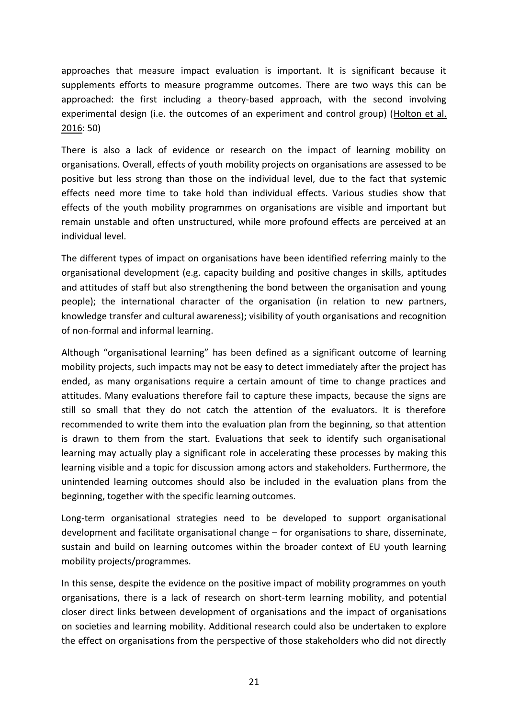approaches that measure impact evaluation is important. It is significant because it supplements efforts to measure programme outcomes. There are two ways this can be approached: the first including a theory-based approach, with the second involving experimental design (i.e. the outcomes of an experiment and control group) [\(Holton et al.](https://www.youthforum.org/sites/default/files/publication-pdfs/YFJ_StudyOnTheSocialValueOfYouthOrganisations_1P1.pdf)  [2016:](https://www.youthforum.org/sites/default/files/publication-pdfs/YFJ_StudyOnTheSocialValueOfYouthOrganisations_1P1.pdf) 50)

There is also a lack of evidence or research on the impact of learning mobility on organisations. Overall, effects of youth mobility projects on organisations are assessed to be positive but less strong than those on the individual level, due to the fact that systemic effects need more time to take hold than individual effects. Various studies show that effects of the youth mobility programmes on organisations are visible and important but remain unstable and often unstructured, while more profound effects are perceived at an individual level.

The different types of impact on organisations have been identified referring mainly to the organisational development (e.g. capacity building and positive changes in skills, aptitudes and attitudes of staff but also strengthening the bond between the organisation and young people); the international character of the organisation (in relation to new partners, knowledge transfer and cultural awareness); visibility of youth organisations and recognition of non-formal and informal learning.

Although "organisational learning" has been defined as a significant outcome of learning mobility projects, such impacts may not be easy to detect immediately after the project has ended, as many organisations require a certain amount of time to change practices and attitudes. Many evaluations therefore fail to capture these impacts, because the signs are still so small that they do not catch the attention of the evaluators. It is therefore recommended to write them into the evaluation plan from the beginning, so that attention is drawn to them from the start. Evaluations that seek to identify such organisational learning may actually play a significant role in accelerating these processes by making this learning visible and a topic for discussion among actors and stakeholders. Furthermore, the unintended learning outcomes should also be included in the evaluation plans from the beginning, together with the specific learning outcomes.

Long-term organisational strategies need to be developed to support organisational development and facilitate organisational change – for organisations to share, disseminate, sustain and build on learning outcomes within the broader context of EU youth learning mobility projects/programmes.

In this sense, despite the evidence on the positive impact of mobility programmes on youth organisations, there is a lack of research on short-term learning mobility, and potential closer direct links between development of organisations and the impact of organisations on societies and learning mobility. Additional research could also be undertaken to explore the effect on organisations from the perspective of those stakeholders who did not directly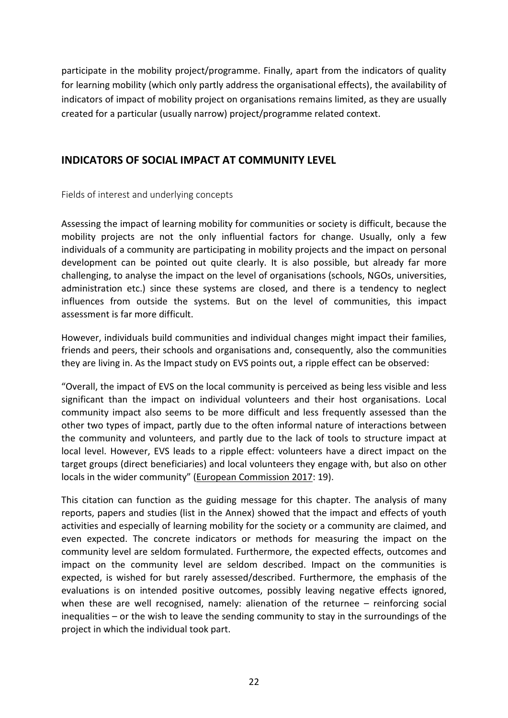participate in the mobility project/programme. Finally, apart from the indicators of quality for learning mobility (which only partly address the organisational effects), the availability of indicators of impact of mobility project on organisations remains limited, as they are usually created for a particular (usually narrow) project/programme related context.

## <span id="page-21-0"></span>**INDICATORS OF SOCIAL IMPACT AT COMMUNITY LEVEL**

<span id="page-21-1"></span>Fields of interest and underlying concepts

Assessing the impact of learning mobility for communities or society is difficult, because the mobility projects are not the only influential factors for change. Usually, only a few individuals of a community are participating in mobility projects and the impact on personal development can be pointed out quite clearly. It is also possible, but already far more challenging, to analyse the impact on the level of organisations (schools, NGOs, universities, administration etc.) since these systems are closed, and there is a tendency to neglect influences from outside the systems. But on the level of communities, this impact assessment is far more difficult.

However, individuals build communities and individual changes might impact their families, friends and peers, their schools and organisations and, consequently, also the communities they are living in. As the Impact study on EVS points out, a ripple effect can be observed:

"Overall, the impact of EVS on the local community is perceived as being less visible and less significant than the impact on individual volunteers and their host organisations. Local community impact also seems to be more difficult and less frequently assessed than the other two types of impact, partly due to the often informal nature of interactions between the community and volunteers, and partly due to the lack of tools to structure impact at local level. However, EVS leads to a ripple effect: volunteers have a direct impact on the target groups (direct beneficiaries) and local volunteers they engage with, but also on other locals in the wider community" (European [Commission](https://ec.europa.eu/info/sites/default/files/better-regulation-guidelines-monitoring.pdf) 2017: 19).

This citation can function as the guiding message for this chapter. The analysis of many reports, papers and studies (list in the Annex) showed that the impact and effects of youth activities and especially of learning mobility for the society or a community are claimed, and even expected. The concrete indicators or methods for measuring the impact on the community level are seldom formulated. Furthermore, the expected effects, outcomes and impact on the community level are seldom described. Impact on the communities is expected, is wished for but rarely assessed/described. Furthermore, the emphasis of the evaluations is on intended positive outcomes, possibly leaving negative effects ignored, when these are well recognised, namely: alienation of the returnee – reinforcing social inequalities – or the wish to leave the sending community to stay in the surroundings of the project in which the individual took part.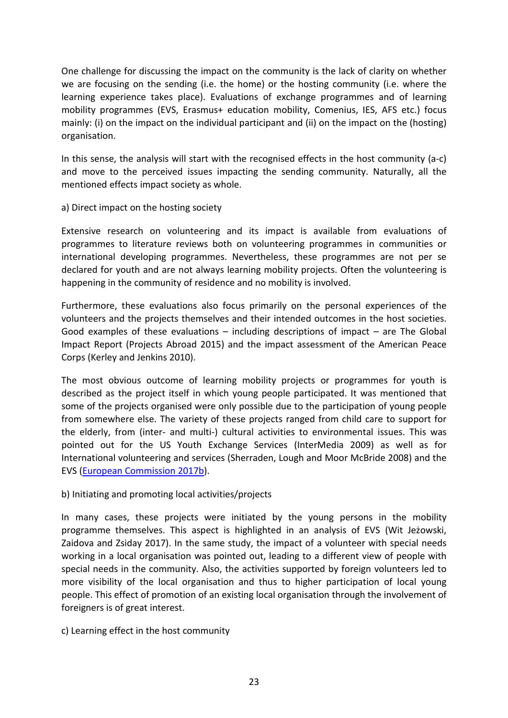One challenge for discussing the impact on the community is the lack of clarity on whether we are focusing on the sending (i.e. the home) or the hosting community (i.e. where the learning experience takes place). Evaluations of exchange programmes and of learning mobility programmes (EVS, Erasmus+ education mobility, Comenius, IES, AFS etc.) focus mainly: (i) on the impact on the individual participant and (ii) on the impact on the (hosting) organisation.

In this sense, the analysis will start with the recognised effects in the host community (a-c) and move to the perceived issues impacting the sending community. Naturally, all the mentioned effects impact society as whole.

a) Direct impact on the hosting society

Extensive research on volunteering and its impact is available from evaluations of programmes to literature reviews both on volunteering programmes in communities or international developing programmes. Nevertheless, these programmes are not per se declared for youth and are not always learning mobility projects. Often the volunteering is happening in the community of residence and no mobility is involved.

Furthermore, these evaluations also focus primarily on the personal experiences of the volunteers and the projects themselves and their intended outcomes in the host societies. Good examples of these evaluations – including descriptions of impact – are The Global Impact Report (Projects Abroad 2015) and the impact assessment of the American Peace Corps (Kerley and Jenkins 2010).

The most obvious outcome of learning mobility projects or programmes for youth is described as the project itself in which young people participated. It was mentioned that some of the projects organised were only possible due to the participation of young people from somewhere else. The variety of these projects ranged from child care to support for the elderly, from (inter- and multi-) cultural activities to environmental issues. This was pointed out for the US Youth Exchange Services (InterMedia 2009) as well as for International volunteering and services (Sherraden, Lough and Moor McBride 2008) and the EVS (European [Commission](https://plataformavoluntariado.org/wp-content/uploads/2018/12/study-on-the-impact-of-transnational-volunteering-through-the-european-voluntary-service.pdf) 2017b).

b) Initiating and promoting local activities/projects

In many cases, these projects were initiated by the young persons in the mobility programme themselves. This aspect is highlighted in an analysis of EVS (Wit Jeżowski, Zaidova and Zsiday 2017). In the same study, the impact of a volunteer with special needs working in a local organisation was pointed out, leading to a different view of people with special needs in the community. Also, the activities supported by foreign volunteers led to more visibility of the local organisation and thus to higher participation of local young people. This effect of promotion of an existing local organisation through the involvement of foreigners is of great interest.

c) Learning effect in the host community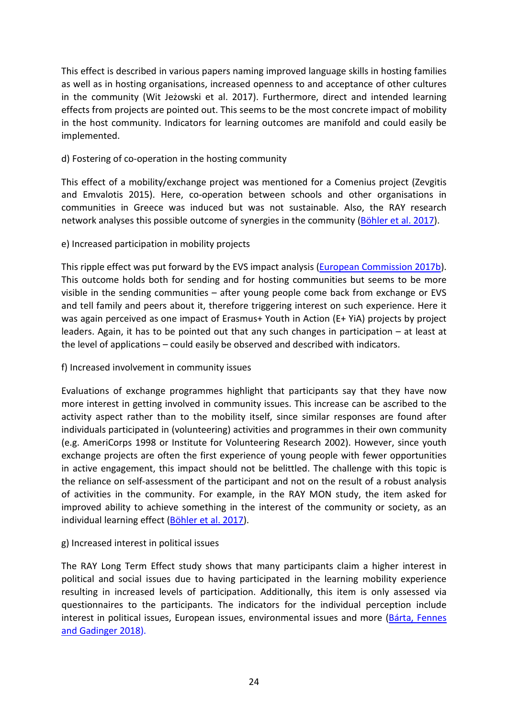This effect is described in various papers naming improved language skills in hosting families as well as in hosting organisations, increased openness to and acceptance of other cultures in the community (Wit Jeżowski et al. 2017). Furthermore, direct and intended learning effects from projects are pointed out. This seems to be the most concrete impact of mobility in the host community. Indicators for learning outcomes are manifold and could easily be implemented.

## d) Fostering of co-operation in the hosting community

This effect of a mobility/exchange project was mentioned for a Comenius project (Zevgitis and Emvalotis 2015). Here, co-operation between schools and other organisations in communities in Greece was induced but was not sustainable. Also, the RAY research network analyses this possible outcome of synergies in the community [\(Böhler](https://www.researchyouth.net/wp-content/uploads/2021/11/RAY-MON_Data-Report-20142020_20211108.pdf) et al. 2017).

## e) Increased participation in mobility projects

This ripple effect was put forward by the EVS impact analysis (European [Commission](https://op.europa.eu/en/publication-detail/-/publication/01a810b3-3712-11e7-a08e-01aa75ed71a1) 2017b). This outcome holds both for sending and for hosting communities but seems to be more visible in the sending communities – after young people come back from exchange or EVS and tell family and peers about it, therefore triggering interest on such experience. Here it was again perceived as one impact of Erasmus+ Youth in Action (E+ YiA) projects by project leaders. Again, it has to be pointed out that any such changes in participation – at least at the level of applications – could easily be observed and described with indicators.

## f) Increased involvement in community issues

Evaluations of exchange programmes highlight that participants say that they have now more interest in getting involved in community issues. This increase can be ascribed to the activity aspect rather than to the mobility itself, since similar responses are found after individuals participated in (volunteering) activities and programmes in their own community (e.g. AmeriCorps 1998 or Institute for Volunteering Research 2002). However, since youth exchange projects are often the first experience of young people with fewer opportunities in active engagement, this impact should not be belittled. The challenge with this topic is the reliance on self-assessment of the participant and not on the result of a robust analysis of activities in the community. For example, in the RAY MON study, the item asked for improved ability to achieve something in the interest of the community or society, as an individual learning effect [\(Böhler](https://www.researchyouth.net/wp-content/uploads/2021/11/RAY-MON_Data-Report-20142020_20211108.pdf) et al. 2017).

## g) Increased interest in political issues

The RAY Long Term Effect study shows that many participants claim a higher interest in political and social issues due to having participated in the learning mobility experience resulting in increased levels of participation. Additionally, this item is only assessed via questionnaires to the participants. The indicators for the individual perception include interest in political issues, European issues, environmental issues and more (Bárta, [Fennes](https://www.researchyouth.net/wp-content/uploads/2020/04/LTE-Executive-Summary.pdf) and [Gadinger](https://www.researchyouth.net/wp-content/uploads/2020/04/LTE-Executive-Summary.pdf) 2018).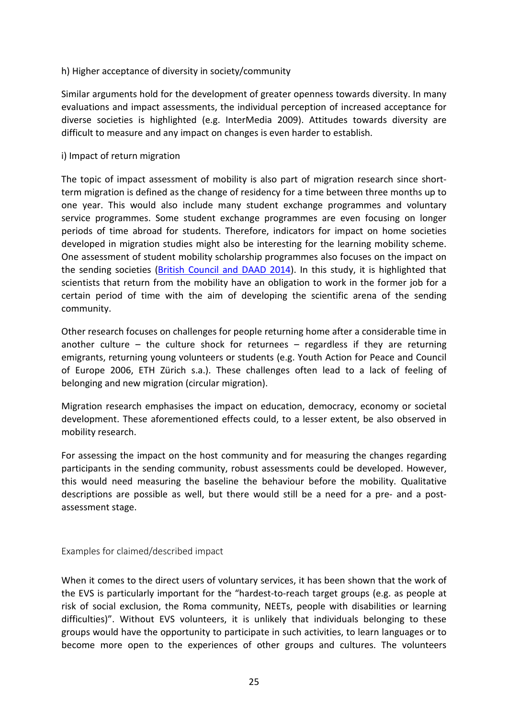#### h) Higher acceptance of diversity in society/community

Similar arguments hold for the development of greater openness towards diversity. In many evaluations and impact assessments, the individual perception of increased acceptance for diverse societies is highlighted (e.g. InterMedia 2009). Attitudes towards diversity are difficult to measure and any impact on changes is even harder to establish.

#### i) Impact of return migration

The topic of impact assessment of mobility is also part of migration research since shortterm migration is defined as the change of residency for a time between three months up to one year. This would also include many student exchange programmes and voluntary service programmes. Some student exchange programmes are even focusing on longer periods of time abroad for students. Therefore, indicators for impact on home societies developed in migration studies might also be interesting for the learning mobility scheme. One assessment of student mobility scholarship programmes also focuses on the impact on the sending societies (British [Council](https://www.britishcouncil.org/sites/default/files/e002_outward_mobility_study_final_v2_web.pdf) and DAAD 2014). In this study, it is highlighted that scientists that return from the mobility have an obligation to work in the former job for a certain period of time with the aim of developing the scientific arena of the sending community.

Other research focuses on challenges for people returning home after a considerable time in another culture – the culture shock for returnees – regardless if they are returning emigrants, returning young volunteers or students (e.g. Youth Action for Peace and Council of Europe 2006, ETH Zürich s.a.). These challenges often lead to a lack of feeling of belonging and new migration (circular migration).

Migration research emphasises the impact on education, democracy, economy or societal development. These aforementioned effects could, to a lesser extent, be also observed in mobility research.

For assessing the impact on the host community and for measuring the changes regarding participants in the sending community, robust assessments could be developed. However, this would need measuring the baseline the behaviour before the mobility. Qualitative descriptions are possible as well, but there would still be a need for a pre- and a postassessment stage.

## <span id="page-24-0"></span>Examples for claimed/described impact

When it comes to the direct users of voluntary services, it has been shown that the work of the EVS is particularly important for the "hardest-to-reach target groups (e.g. as people at risk of social exclusion, the Roma community, NEETs, people with disabilities or learning difficulties)". Without EVS volunteers, it is unlikely that individuals belonging to these groups would have the opportunity to participate in such activities, to learn languages or to become more open to the experiences of other groups and cultures. The volunteers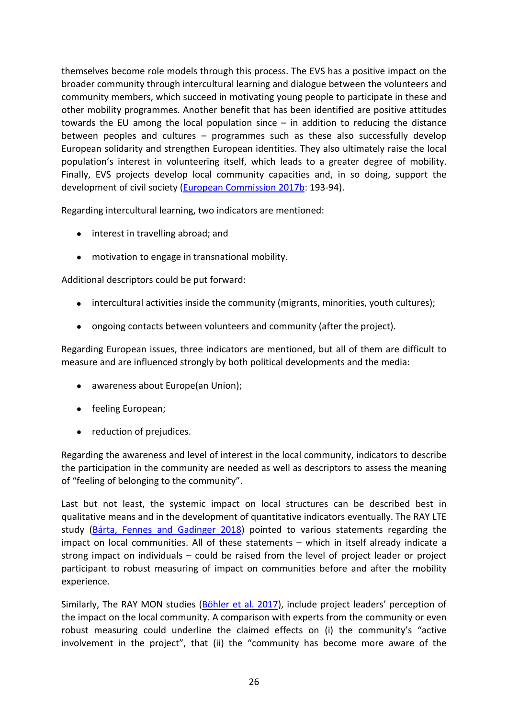themselves become role models through this process. The EVS has a positive impact on the broader community through intercultural learning and dialogue between the volunteers and community members, which succeed in motivating young people to participate in these and other mobility programmes. Another benefit that has been identified are positive attitudes towards the EU among the local population since  $-$  in addition to reducing the distance between peoples and cultures – programmes such as these also successfully develop European solidarity and strengthen European identities. They also ultimately raise the local population's interest in volunteering itself, which leads to a greater degree of mobility. Finally, EVS projects develop local community capacities and, in so doing, support the development of civil society (European [Commission](https://plataformavoluntariado.org/wp-content/uploads/2018/12/study-on-the-impact-of-transnational-volunteering-through-the-european-voluntary-service.pdf) 2017b: 193-94).

Regarding intercultural learning, two indicators are mentioned:

- interest in travelling abroad; and
- motivation to engage in transnational mobility.

Additional descriptors could be put forward:

- intercultural activities inside the community (migrants, minorities, youth cultures);
- ongoing contacts between volunteers and community (after the project).

Regarding European issues, three indicators are mentioned, but all of them are difficult to measure and are influenced strongly by both political developments and the media:

- awareness about Europe(an Union);
- feeling European;
- reduction of prejudices.

Regarding the awareness and level of interest in the local community, indicators to describe the participation in the community are needed as well as descriptors to assess the meaning of "feeling of belonging to the community".

Last but not least, the systemic impact on local structures can be described best in qualitative means and in the development of quantitative indicators eventually. The RAY LTE study (Bárta, Fennes and [Gadinger](https://www.researchyouth.net/wp-content/uploads/2020/04/LTE-Executive-Summary.pdf) 2018) pointed to various statements regarding the impact on local communities. All of these statements – which in itself already indicate a strong impact on individuals – could be raised from the level of project leader or project participant to robust measuring of impact on communities before and after the mobility experience.

Similarly, The RAY MON studies [\(Böhler](https://www.researchyouth.net/wp-content/uploads/2021/11/RAY-MON_Data-Report-20142020_20211108.pdf) et al. 2017), include project leaders' perception of the impact on the local community. A comparison with experts from the community or even robust measuring could underline the claimed effects on (i) the community's "active involvement in the project", that (ii) the "community has become more aware of the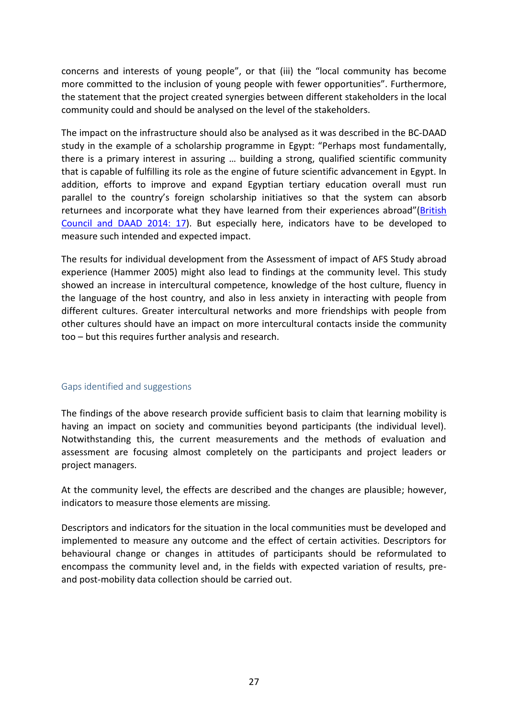concerns and interests of young people", or that (iii) the "local community has become more committed to the inclusion of young people with fewer opportunities". Furthermore, the statement that the project created synergies between different stakeholders in the local community could and should be analysed on the level of the stakeholders.

The impact on the infrastructure should also be analysed as it was described in the BC-DAAD study in the example of a scholarship programme in Egypt: "Perhaps most fundamentally, there is a primary interest in assuring … building a strong, qualified scientific community that is capable of fulfilling its role as the engine of future scientific advancement in Egypt. In addition, efforts to improve and expand Egyptian tertiary education overall must run parallel to the country's foreign scholarship initiatives so that the system can absorb returnees and incorporate what they have learned from their experiences abroad"([British](https://www.britishcouncil.org/sites/default/files/e002_outward_mobility_study_final_v2_web.pdf) [Council](https://www.britishcouncil.org/sites/default/files/e002_outward_mobility_study_final_v2_web.pdf) and DAAD 2014: 17). But especially here, indicators have to be developed to measure such intended and expected impact.

The results for individual development from the Assessment of impact of AFS Study abroad experience (Hammer 2005) might also lead to findings at the community level. This study showed an increase in intercultural competence, knowledge of the host culture, fluency in the language of the host country, and also in less anxiety in interacting with people from different cultures. Greater intercultural networks and more friendships with people from other cultures should have an impact on more intercultural contacts inside the community too – but this requires further analysis and research.

## <span id="page-26-0"></span>Gaps identified and suggestions

The findings of the above research provide sufficient basis to claim that learning mobility is having an impact on society and communities beyond participants (the individual level). Notwithstanding this, the current measurements and the methods of evaluation and assessment are focusing almost completely on the participants and project leaders or project managers.

At the community level, the effects are described and the changes are plausible; however, indicators to measure those elements are missing.

Descriptors and indicators for the situation in the local communities must be developed and implemented to measure any outcome and the effect of certain activities. Descriptors for behavioural change or changes in attitudes of participants should be reformulated to encompass the community level and, in the fields with expected variation of results, preand post-mobility data collection should be carried out.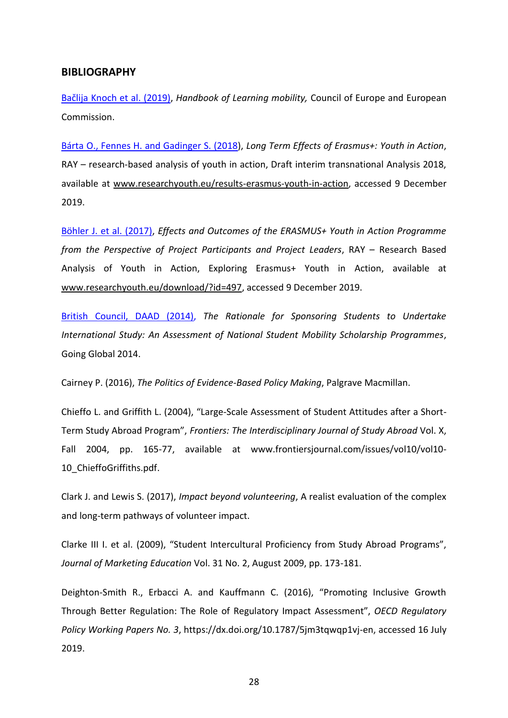#### <span id="page-27-0"></span>**BIBLIOGRAPHY**

[Bačlija Knoch et al.](https://pjp-eu.coe.int/documents/42128013/47261953/Handbook+LM/3a5c103c-0367-4eba-1aca-ee544826f557) (2019), *Handbook of Learning mobility,* Council of Europe and European Commission.

[Bárta O., Fennes H. and Gadinger S. \(2018\)](https://www.researchyouth.net/wp-content/uploads/2020/04/LTE-Executive-Summary.pdf), *Long Term Effects of Erasmus+: Youth in Action*, RAY – research-based analysis of youth in action, Draft interim transnational Analysis 2018, available at [www.researchyouth.eu/results-erasmus-youth-in-action,](http://www.researchyouth.eu/results-erasmus-youth-in-action) accessed 9 December 2019.

[Böhler J. et al. \(2017\),](https://www.researchyouth.net/wp-content/uploads/2021/11/RAY-MON_Data-Report-20142020_20211108.pdf) *Effects and Outcomes of the ERASMUS+ Youth in Action Programme from the Perspective of Project Participants and Project Leaders*, RAY – Research Based Analysis of Youth in Action, Exploring Erasmus+ Youth in Action, available at [www.researchyouth.eu/download/?id=497,](http://www.researchyouth.eu/download/?id=497) accessed 9 December 2019.

[British Council, DAAD \(2014\),](https://www.britishcouncil.org/sites/default/files/e002_outward_mobility_study_final_v2_web.pdf) *The Rationale for Sponsoring Students to Undertake International Study: An Assessment of National Student Mobility Scholarship Programmes*, Going Global 2014.

Cairney P. (2016), *The Politics of Evidence-Based Policy Making*, Palgrave Macmillan.

Chieffo L. and Griffith L. (2004), "Large-Scale Assessment of Student Attitudes after a Short-Term Study Abroad Program", *Frontiers: The Interdisciplinary Journal of Study Abroad* Vol. X, Fall 2004, pp. 165-77, available at www.frontiersjournal.com/issues/vol10/vol10- 10 ChieffoGriffiths.pdf.

Clark J. and Lewis S. (2017), *Impact beyond volunteering*, A realist evaluation of the complex and long-term pathways of volunteer impact.

Clarke III I. et al. (2009), "Student Intercultural Proficiency from Study Abroad Programs", *Journal of Marketing Education* Vol. 31 No. 2, August 2009, pp. 173-181.

Deighton-Smith R., Erbacci A. and Kauffmann C. (2016), "Promoting Inclusive Growth Through Better Regulation: The Role of Regulatory Impact Assessment", *OECD Regulatory Policy Working Papers No. 3*, https://dx.doi.org/10.1787/5jm3tqwqp1vj-en, accessed 16 July 2019.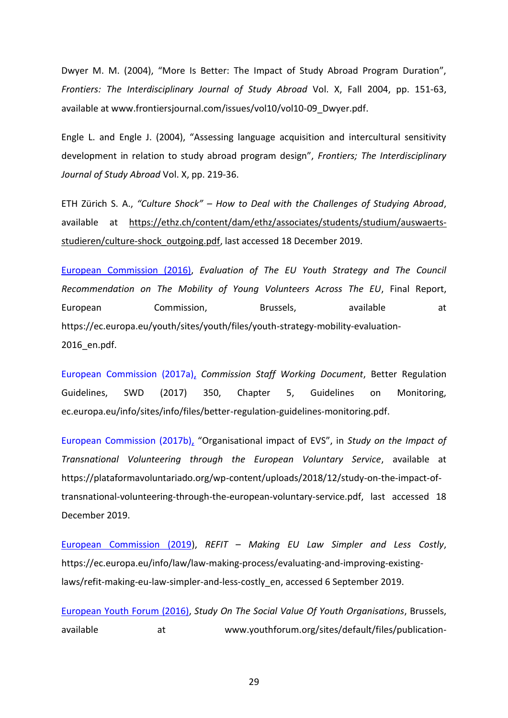Dwyer M. M. (2004), "More Is Better: The Impact of Study Abroad Program Duration", *Frontiers: The Interdisciplinary Journal of Study Abroad* Vol. X, Fall 2004, pp. 151-63, available at www.frontiersiournal.com/issues/vol10/vol10-09\_Dwyer.pdf.

Engle L. and Engle J. (2004), "Assessing language acquisition and intercultural sensitivity development in relation to study abroad program design", *Frontiers; The Interdisciplinary Journal of Study Abroad* Vol. X, pp. 219-36.

ETH Zürich S. A., *"Culture Shock" – How to Deal with the Challenges of Studying Abroad*, available at [https://ethz.ch/content/dam/ethz/associates/students/studium/auswaerts](https://ethz.ch/content/dam/ethz/associates/students/studium/auswaerts-studieren/culture-shock_outgoing.pdf)[studieren/culture-shock\\_outgoing.pdf,](https://ethz.ch/content/dam/ethz/associates/students/studium/auswaerts-studieren/culture-shock_outgoing.pdf) last accessed 18 December 2019.

[European Commission \(2016\),](https://op.europa.eu/en/publication-detail/-/publication/553867b6-2885-11e6-b616-01aa75ed71a1) *Evaluation of The EU Youth Strategy and The Council Recommendation on The Mobility of Young Volunteers Across The EU*, Final Report, European Commission, Brussels, available at https://ec.europa.eu/youth/sites/youth/files/youth-strategy-mobility-evaluation-2016\_en.pdf.

[European Commission \(2017a\),](https://ec.europa.eu/info/sites/default/files/better-regulation-guidelines-monitoring.pdf) *Commission Staff Working Document*, Better Regulation Guidelines, SWD (2017) 350, Chapter 5, Guidelines on Monitoring, ec.europa.eu/info/sites/info/files/better-regulation-guidelines-monitoring.pdf.

[European Commission \(2017b\),](https://plataformavoluntariado.org/wp-content/uploads/2018/12/study-on-the-impact-of-transnational-volunteering-through-the-european-voluntary-service.pdf) "Organisational impact of EVS", in *Study on the Impact of Transnational Volunteering through the European Voluntary Service*, available at https://plataformavoluntariado.org/wp-content/uploads/2018/12/study-on-the-impact-oftransnational-volunteering-through-the-european-voluntary-service.pdf, last accessed 18 December 2019.

[European Commission \(2019\)](https://ec.europa.eu/info/law/law-making-process/evaluating-and-improving-existing-laws/refit-making-eu-law-simpler-less-costly-and-future-proof_en), *REFIT – Making EU Law Simpler and Less Costly*, https://ec.europa.eu/info/law/law-making-process/evaluating-and-improving-existinglaws/refit-making-eu-law-simpler-and-less-costly en, accessed 6 September 2019.

[European Youth Forum \(2016\),](http://www.youthforum.org/sites/default/files/publication-pdfs/YFJ_StudyOnTheSocialValueOfYouthOrganisations_1P1.pdf) *Study On The Social Value Of Youth Organisations*, Brussels, available at www.youthforum.org/sites/default/files/publication-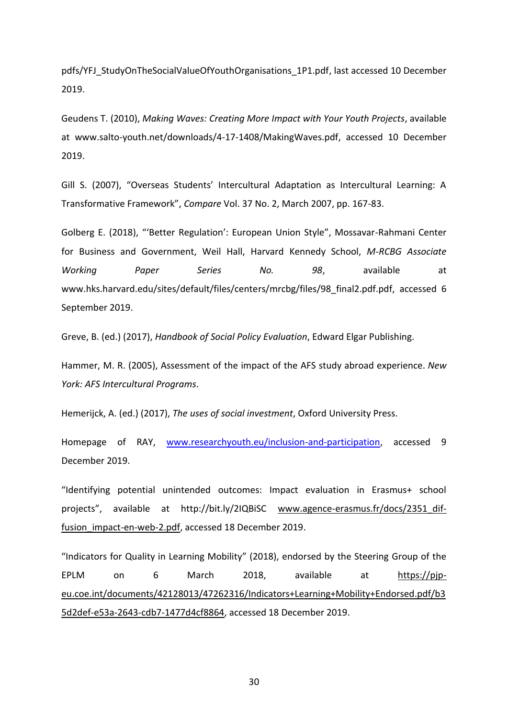pdfs/YFJ\_StudyOnTheSocialValueOfYouthOrganisations\_1P1.pdf, last accessed 10 December 2019.

Geudens T. (2010), *Making Waves: Creating More Impact with Your Youth Projects*, available at www.salto-youth.net/downloads/4-17-1408/MakingWaves.pdf, accessed 10 December 2019.

Gill S. (2007), "Overseas Students' Intercultural Adaptation as Intercultural Learning: A Transformative Framework", *Compare* Vol. 37 No. 2, March 2007, pp. 167-83.

Golberg E. (2018), "'Better Regulation': European Union Style", Mossavar-Rahmani Center for Business and Government, Weil Hall, Harvard Kennedy School, *M-RCBG Associate Working Paper Series No. 98*, available at www.hks.harvard.edu/sites/default/files/centers/mrcbg/files/98\_final2.pdf.pdf, accessed 6 September 2019.

Greve, B. (ed.) (2017), *Handbook of Social Policy Evaluation*, Edward Elgar Publishing.

Hammer, M. R. (2005), Assessment of the impact of the AFS study abroad experience. *New York: AFS Intercultural Programs*.

Hemerijck, A. (ed.) (2017), *The uses of social investment*, Oxford University Press.

Homepage of RAY, [www.researchyouth.eu/inclusion-and-participation,](http://www.researchyouth.eu/inclusion-and-participation) accessed 9 December 2019.

"Identifying potential unintended outcomes: Impact evaluation in Erasmus+ school projects", available at http://bit.ly/2IQBiSC [www.agence-erasmus.fr/docs/2351\\_dif](http://www.agence-erasmus.fr/docs/2351_dif-%20fusion_impact-en-web-2.pdf)fusion impact-en-web-2.pdf, accessed 18 December 2019.

"Indicators for Quality in Learning Mobility" (2018), endorsed by the Steering Group of the EPLM on 6 March 2018, available at [https://pjp](https://pjp-eu.coe.int/documents/42128013/47262316/Indicators+Learning+Mobility+Endorsed.pdf/b35d2def-e53a-2643-cdb7-1477d4cf8864)[eu.coe.int/documents/42128013/47262316/Indicators+Learning+Mobility+Endorsed.pdf/b3](https://pjp-eu.coe.int/documents/42128013/47262316/Indicators+Learning+Mobility+Endorsed.pdf/b35d2def-e53a-2643-cdb7-1477d4cf8864) [5d2def-e53a-2643-cdb7-1477d4cf8864,](https://pjp-eu.coe.int/documents/42128013/47262316/Indicators+Learning+Mobility+Endorsed.pdf/b35d2def-e53a-2643-cdb7-1477d4cf8864) accessed 18 December 2019.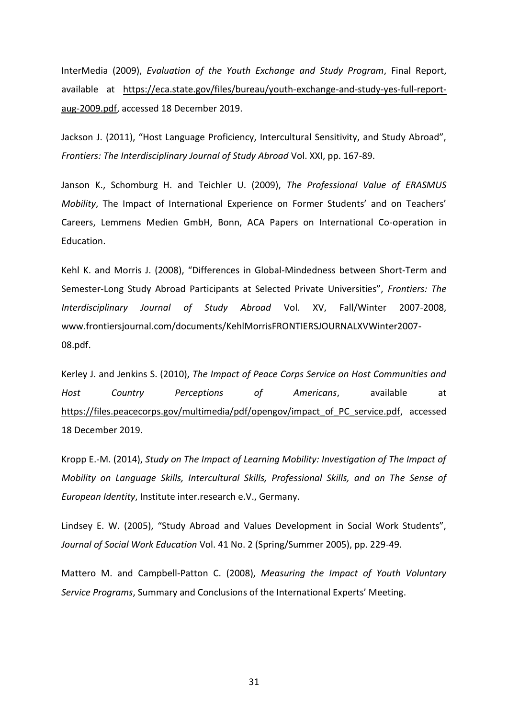InterMedia (2009), *Evaluation of the Youth Exchange and Study Program*, Final Report, available at [https://eca.state.gov/files/bureau/youth-exchange-and-study-yes-full-report](https://eca.state.gov/files/bureau/youth-exchange-and-study-yes-full-report-aug-2009.pdf)[aug-2009.pdf,](https://eca.state.gov/files/bureau/youth-exchange-and-study-yes-full-report-aug-2009.pdf) accessed 18 December 2019.

Jackson J. (2011), "Host Language Proficiency, Intercultural Sensitivity, and Study Abroad", *Frontiers: The Interdisciplinary Journal of Study Abroad* Vol. XXI, pp. 167-89.

Janson K., Schomburg H. and Teichler U. (2009), *The Professional Value of ERASMUS Mobility*, The Impact of International Experience on Former Students' and on Teachers' Careers, Lemmens Medien GmbH, Bonn, ACA Papers on International Co-operation in Education.

Kehl K. and Morris J. (2008), "Differences in Global-Mindedness between Short-Term and Semester-Long Study Abroad Participants at Selected Private Universities", *Frontiers: The Interdisciplinary Journal of Study Abroad* Vol. XV, Fall/Winter 2007-2008, www.frontiersjournal.com/documents/KehlMorrisFRONTIERSJOURNALXVWinter2007- 08.pdf.

Kerley J. and Jenkins S. (2010), *The Impact of Peace Corps Service on Host Communities and Host Country Perceptions of Americans*, available at [https://files.peacecorps.gov/multimedia/pdf/opengov/impact\\_of\\_PC\\_service.pdf,](https://files.peacecorps.gov/multimedia/pdf/opengov/impact_of_PC_service.pdf) accessed 18 December 2019.

Kropp E.-M. (2014), *Study on The Impact of Learning Mobility: Investigation of The Impact of Mobility on Language Skills, Intercultural Skills, Professional Skills, and on The Sense of European Identity*, Institute inter.research e.V., Germany.

Lindsey E. W. (2005), "Study Abroad and Values Development in Social Work Students", *Journal of Social Work Education* Vol. 41 No. 2 (Spring/Summer 2005), pp. 229-49.

Mattero M. and Campbell-Patton C. (2008), *Measuring the Impact of Youth Voluntary Service Programs*, Summary and Conclusions of the International Experts' Meeting.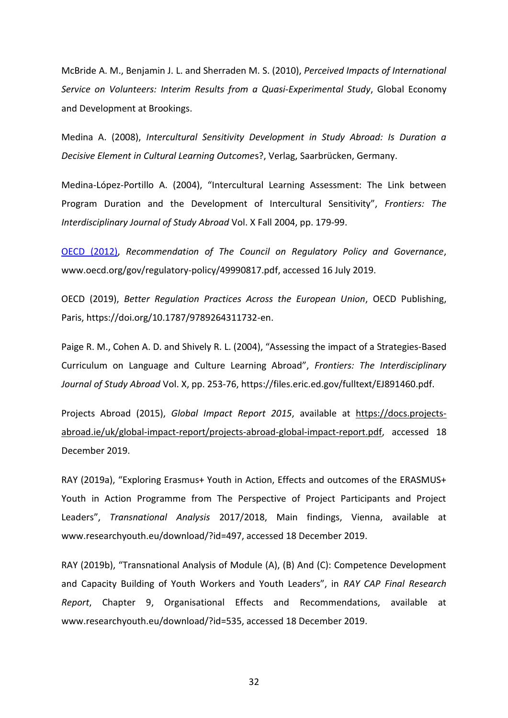McBride A. M., Benjamin J. L. and Sherraden M. S. (2010), *Perceived Impacts of International Service on Volunteers: Interim Results from a Quasi-Experimental Study*, Global Economy and Development at Brookings.

Medina A. (2008), *Intercultural Sensitivity Development in Study Abroad: Is Duration a Decisive Element in Cultural Learning Outcome*s?, Verlag, Saarbrücken, Germany.

Medina-López-Portillo A. (2004), "Intercultural Learning Assessment: The Link between Program Duration and the Development of Intercultural Sensitivity", *Frontiers: The Interdisciplinary Journal of Study Abroad* Vol. X Fall 2004, pp. 179-99.

[OECD \(2012\),](http://www.oecd.org/gov/regulatory-policy/49990817.pdf) *Recommendation of The Council on Regulatory Policy and Governance*, www.oecd.org/gov/regulatory-policy/49990817.pdf, accessed 16 July 2019.

OECD (2019), *Better Regulation Practices Across the European Union*, OECD Publishing, Paris, https://doi.org/10.1787/9789264311732-en.

Paige R. M., Cohen A. D. and Shively R. L. (2004), "Assessing the impact of a Strategies-Based Curriculum on Language and Culture Learning Abroad", *Frontiers: The Interdisciplinary Journal of Study Abroad* Vol. X, pp. 253-76, https://files.eric.ed.gov/fulltext/EJ891460.pdf.

Projects Abroad (2015), *Global Impact Report 2015*, available at [https://docs.projects](https://docs.projects-abroad.ie/uk/global-impact-report/projects-abroad-global-impact-report.pdf)[abroad.ie/uk/global-impact-report/projects-abroad-global-impact-report.pdf,](https://docs.projects-abroad.ie/uk/global-impact-report/projects-abroad-global-impact-report.pdf) accessed 18 December 2019.

RAY (2019a), "Exploring Erasmus+ Youth in Action, Effects and outcomes of the ERASMUS+ Youth in Action Programme from The Perspective of Project Participants and Project Leaders", *Transnational Analysis* 2017/2018, Main findings, Vienna, available at www.researchyouth.eu/download/?id=497, accessed 18 December 2019.

RAY (2019b), "Transnational Analysis of Module (A), (B) And (C): Competence Development and Capacity Building of Youth Workers and Youth Leaders", in *RAY CAP Final Research Report*, Chapter 9, Organisational Effects and Recommendations, available at www.researchyouth.eu/download/?id=535, accessed 18 December 2019.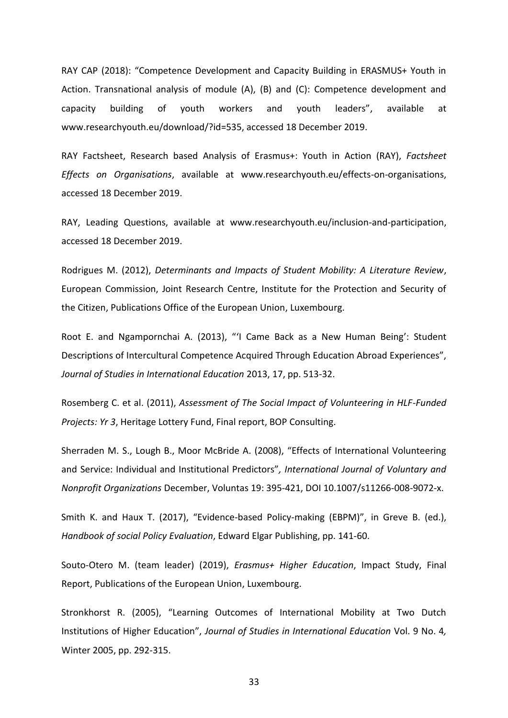RAY CAP (2018): "Competence Development and Capacity Building in ERASMUS+ Youth in Action. Transnational analysis of module (A), (B) and (C): Competence development and capacity building of youth workers and youth leaders", available at www.researchyouth.eu/download/?id=535, accessed 18 December 2019.

RAY Factsheet, Research based Analysis of Erasmus+: Youth in Action (RAY), *Factsheet Effects on Organisations*, available at www.researchyouth.eu/effects-on-organisations, accessed 18 December 2019.

RAY, Leading Questions, available at www.researchyouth.eu/inclusion-and-participation, accessed 18 December 2019.

Rodrigues M. (2012), *Determinants and Impacts of Student Mobility: A Literature Review*, European Commission, Joint Research Centre, Institute for the Protection and Security of the Citizen, Publications Office of the European Union, Luxembourg.

Root E. and Ngampornchai A. (2013), "'I Came Back as a New Human Being': Student Descriptions of Intercultural Competence Acquired Through Education Abroad Experiences", *Journal of Studies in International Education* 2013, 17, pp. 513-32.

Rosemberg C. et al. (2011), *Assessment of The Social Impact of Volunteering in HLF-Funded Projects: Yr 3*, Heritage Lottery Fund, Final report, BOP Consulting.

Sherraden M. S., Lough B., Moor McBride A. (2008), "Effects of International Volunteering and Service: Individual and Institutional Predictors"*, International Journal of Voluntary and Nonprofit Organizations* December, Voluntas 19: 395-421, DOI 10.1007/s11266-008-9072-x.

Smith K. and Haux T. (2017), "Evidence-based Policy-making (EBPM)", in Greve B. (ed.), *Handbook of social Policy Evaluation*, Edward Elgar Publishing, pp. 141-60.

Souto-Otero M. (team leader) (2019), *Erasmus+ Higher Education*, Impact Study, Final Report, Publications of the European Union, Luxembourg.

Stronkhorst R. (2005), "Learning Outcomes of International Mobility at Two Dutch Institutions of Higher Education", *Journal of Studies in International Education* Vol. 9 No. 4*,*  Winter 2005, pp. 292-315.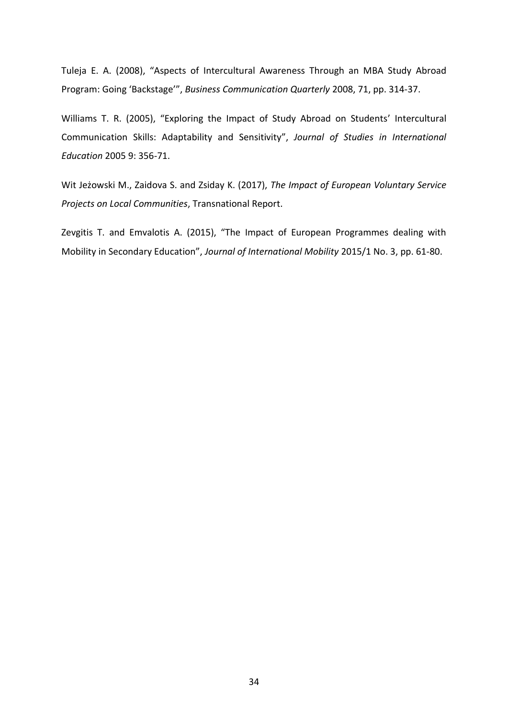Tuleja E. A. (2008), "Aspects of Intercultural Awareness Through an MBA Study Abroad Program: Going 'Backstage'", *Business Communication Quarterly* 2008, 71, pp. 314-37.

Williams T. R. (2005), "Exploring the Impact of Study Abroad on Students' Intercultural Communication Skills: Adaptability and Sensitivity", *Journal of Studies in International Education* 2005 9: 356-71.

Wit Jeżowski M., Zaidova S. and Zsiday K. (2017), *The Impact of European Voluntary Service Projects on Local Communities*, Transnational Report.

Zevgitis T. and Emvalotis A. (2015), "The Impact of European Programmes dealing with Mobility in Secondary Education", *Journal of International Mobility* 2015/1 No. 3, pp. 61-80.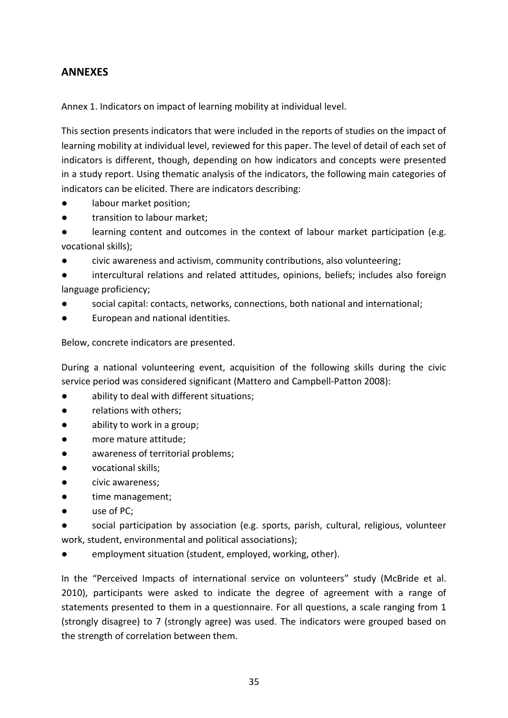## <span id="page-34-0"></span>**ANNEXES**

<span id="page-34-1"></span>Annex 1. Indicators on impact of learning mobility at individual level.

This section presents indicators that were included in the reports of studies on the impact of learning mobility at individual level, reviewed for this paper. The level of detail of each set of indicators is different, though, depending on how indicators and concepts were presented in a study report. Using thematic analysis of the indicators, the following main categories of indicators can be elicited. There are indicators describing:

- labour market position;
- transition to labour market;

learning content and outcomes in the context of labour market participation (e.g. vocational skills);

civic awareness and activism, community contributions, also volunteering;

● intercultural relations and related attitudes, opinions, beliefs; includes also foreign language proficiency;

- social capital: contacts, networks, connections, both national and international;
- European and national identities.

Below, concrete indicators are presented.

During a national volunteering event, acquisition of the following skills during the civic service period was considered significant (Mattero and Campbell-Patton 2008):

- ability to deal with different situations;
- relations with others;
- ability to work in a group;
- more mature attitude;
- awareness of territorial problems:
- vocational skills;
- civic awareness:
- time management;
- use of PC;
- social participation by association (e.g. sports, parish, cultural, religious, volunteer work, student, environmental and political associations);
- employment situation (student, employed, working, other).

In the "Perceived Impacts of international service on volunteers" study (McBride et al. 2010), participants were asked to indicate the degree of agreement with a range of statements presented to them in a questionnaire. For all questions, a scale ranging from 1 (strongly disagree) to 7 (strongly agree) was used. The indicators were grouped based on the strength of correlation between them.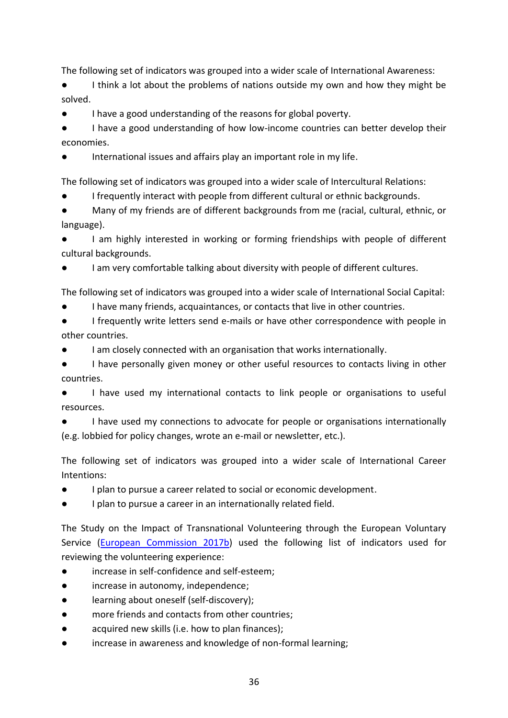The following set of indicators was grouped into a wider scale of International Awareness:

● I think a lot about the problems of nations outside my own and how they might be solved.

● I have a good understanding of the reasons for global poverty.

I have a good understanding of how low-income countries can better develop their economies.

International issues and affairs play an important role in my life.

The following set of indicators was grouped into a wider scale of Intercultural Relations:

I frequently interact with people from different cultural or ethnic backgrounds.

Many of my friends are of different backgrounds from me (racial, cultural, ethnic, or language).

● I am highly interested in working or forming friendships with people of different cultural backgrounds.

I am very comfortable talking about diversity with people of different cultures.

The following set of indicators was grouped into a wider scale of International Social Capital:

I have many friends, acquaintances, or contacts that live in other countries.

● I frequently write letters send e-mails or have other correspondence with people in other countries.

I am closely connected with an organisation that works internationally.

I have personally given money or other useful resources to contacts living in other countries.

I have used my international contacts to link people or organisations to useful resources.

I have used my connections to advocate for people or organisations internationally (e.g. lobbied for policy changes, wrote an e-mail or newsletter, etc.).

The following set of indicators was grouped into a wider scale of International Career Intentions:

- I plan to pursue a career related to social or economic development.
- I plan to pursue a career in an internationally related field.

The Study on the Impact of Transnational Volunteering through the European Voluntary Service [\(European Commission](https://plataformavoluntariado.org/wp-content/uploads/2018/12/study-on-the-impact-of-transnational-volunteering-through-the-european-voluntary-service.pdf) 2017b) used the following list of indicators used for reviewing the volunteering experience:

- increase in self-confidence and self-esteem;
- increase in autonomy, independence;
- learning about oneself (self-discovery);
- more friends and contacts from other countries:
- acquired new skills (i.e. how to plan finances);
- increase in awareness and knowledge of non-formal learning;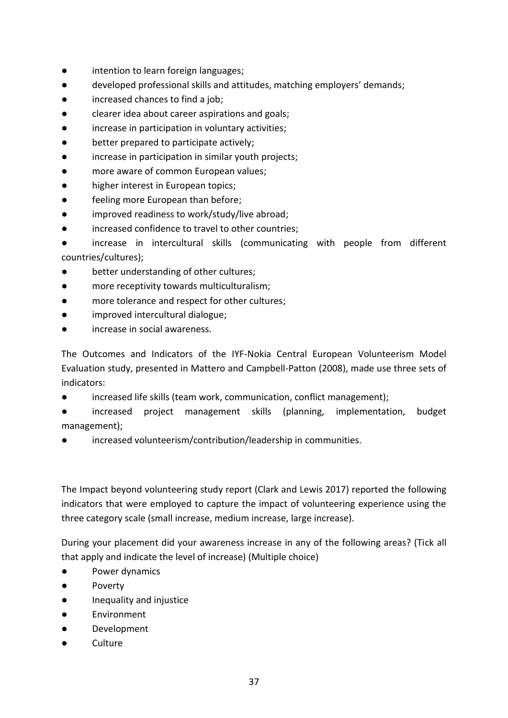- intention to learn foreign languages;
- developed professional skills and attitudes, matching employers' demands;
- increased chances to find a job;
- clearer idea about career aspirations and goals;
- increase in participation in voluntary activities;
- better prepared to participate actively;
- increase in participation in similar youth projects;
- more aware of common European values;
- higher interest in European topics;
- feeling more European than before;
- improved readiness to work/study/live abroad;
- increased confidence to travel to other countries;

increase in intercultural skills (communicating with people from different countries/cultures);

- better understanding of other cultures;
- more receptivity towards multiculturalism;
- more tolerance and respect for other cultures;
- improved intercultural dialogue;
- increase in social awareness.

The Outcomes and Indicators of the IYF-Nokia Central European Volunteerism Model Evaluation study, presented in Mattero and Campbell-Patton (2008), made use three sets of indicators:

● increased life skills (team work, communication, conflict management);

increased project management skills (planning, implementation, budget management);

increased volunteerism/contribution/leadership in communities.

The Impact beyond volunteering study report (Clark and Lewis 2017) reported the following indicators that were employed to capture the impact of volunteering experience using the three category scale (small increase, medium increase, large increase).

During your placement did your awareness increase in any of the following areas? (Tick all that apply and indicate the level of increase) (Multiple choice)

- Power dynamics
- Poverty
- Inequality and injustice
- **Environment**
- Development
- Culture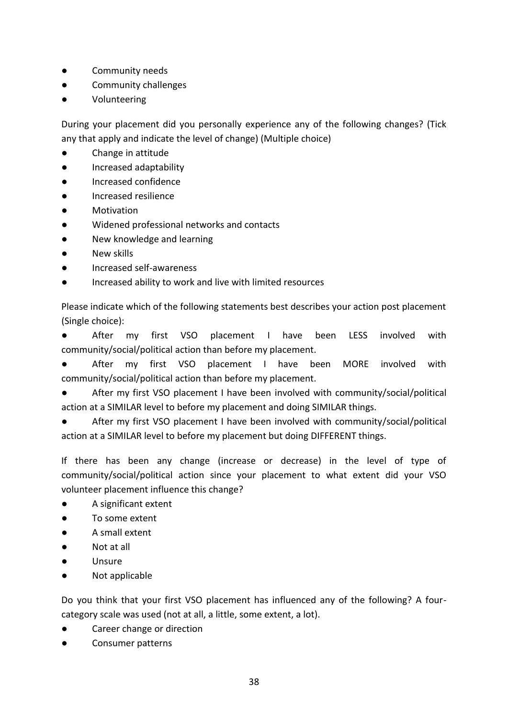- Community needs
- Community challenges
- Volunteering

During your placement did you personally experience any of the following changes? (Tick any that apply and indicate the level of change) (Multiple choice)

- Change in attitude
- Increased adaptability
- Increased confidence
- Increased resilience
- **Motivation**
- Widened professional networks and contacts
- New knowledge and learning
- **New skills**
- Increased self-awareness
- Increased ability to work and live with limited resources

Please indicate which of the following statements best describes your action post placement (Single choice):

● After my first VSO placement I have been LESS involved with community/social/political action than before my placement.

After my first VSO placement I have been MORE involved with community/social/political action than before my placement.

After my first VSO placement I have been involved with community/social/political action at a SIMILAR level to before my placement and doing SIMILAR things.

After my first VSO placement I have been involved with community/social/political action at a SIMILAR level to before my placement but doing DIFFERENT things.

If there has been any change (increase or decrease) in the level of type of community/social/political action since your placement to what extent did your VSO volunteer placement influence this change?

- A significant extent
- To some extent
- A small extent
- Not at all
- Unsure
- Not applicable

Do you think that your first VSO placement has influenced any of the following? A fourcategory scale was used (not at all, a little, some extent, a lot).

- Career change or direction
- Consumer patterns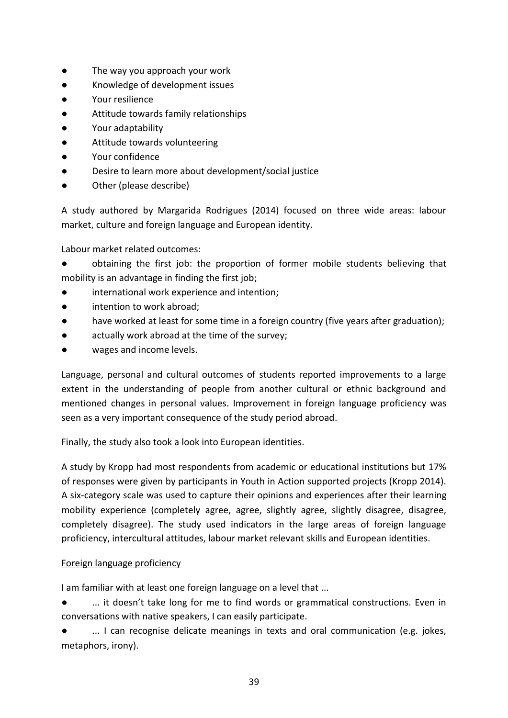- The way you approach your work
- Knowledge of development issues
- Your resilience
- Attitude towards family relationships
- Your adaptability
- Attitude towards volunteering
- Your confidence
- Desire to learn more about development/social justice
- Other (please describe)

A study authored by Margarida Rodrigues (2014) focused on three wide areas: labour market, culture and foreign language and European identity.

Labour market related outcomes:

obtaining the first job: the proportion of former mobile students believing that mobility is an advantage in finding the first job;

- international work experience and intention;
- intention to work abroad;
- have worked at least for some time in a foreign country (five years after graduation);
- actually work abroad at the time of the survey;
- wages and income levels.

Language, personal and cultural outcomes of students reported improvements to a large extent in the understanding of people from another cultural or ethnic background and mentioned changes in personal values. Improvement in foreign language proficiency was seen as a very important consequence of the study period abroad.

Finally, the study also took a look into European identities.

A study by Kropp had most respondents from academic or educational institutions but 17% of responses were given by participants in Youth in Action supported projects (Kropp 2014). A six-category scale was used to capture their opinions and experiences after their learning mobility experience (completely agree, agree, slightly agree, slightly disagree, disagree, completely disagree). The study used indicators in the large areas of foreign language proficiency, intercultural attitudes, labour market relevant skills and European identities.

#### Foreign language proficiency

I am familiar with at least one foreign language on a level that ...

● ... it doesn't take long for me to find words or grammatical constructions. Even in conversations with native speakers, I can easily participate.

... I can recognise delicate meanings in texts and oral communication (e.g. jokes, metaphors, irony).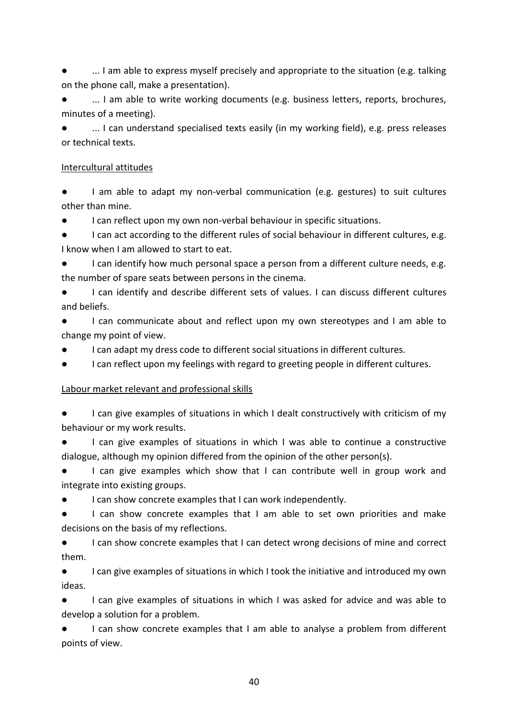... I am able to express myself precisely and appropriate to the situation (e.g. talking on the phone call, make a presentation).

... I am able to write working documents (e.g. business letters, reports, brochures, minutes of a meeting).

... I can understand specialised texts easily (in my working field), e.g. press releases or technical texts.

## Intercultural attitudes

I am able to adapt my non-verbal communication (e.g. gestures) to suit cultures other than mine.

I can reflect upon my own non-verbal behaviour in specific situations.

I can act according to the different rules of social behaviour in different cultures, e.g. I know when I am allowed to start to eat.

I can identify how much personal space a person from a different culture needs, e.g. the number of spare seats between persons in the cinema.

I can identify and describe different sets of values. I can discuss different cultures and beliefs.

I can communicate about and reflect upon my own stereotypes and I am able to change my point of view.

- I can adapt my dress code to different social situations in different cultures.
- I can reflect upon my feelings with regard to greeting people in different cultures.

## Labour market relevant and professional skills

I can give examples of situations in which I dealt constructively with criticism of my behaviour or my work results.

I can give examples of situations in which I was able to continue a constructive dialogue, although my opinion differed from the opinion of the other person(s).

I can give examples which show that I can contribute well in group work and integrate into existing groups.

I can show concrete examples that I can work independently.

● I can show concrete examples that I am able to set own priorities and make decisions on the basis of my reflections.

● I can show concrete examples that I can detect wrong decisions of mine and correct them.

● I can give examples of situations in which I took the initiative and introduced my own ideas.

● I can give examples of situations in which I was asked for advice and was able to develop a solution for a problem.

I can show concrete examples that I am able to analyse a problem from different points of view.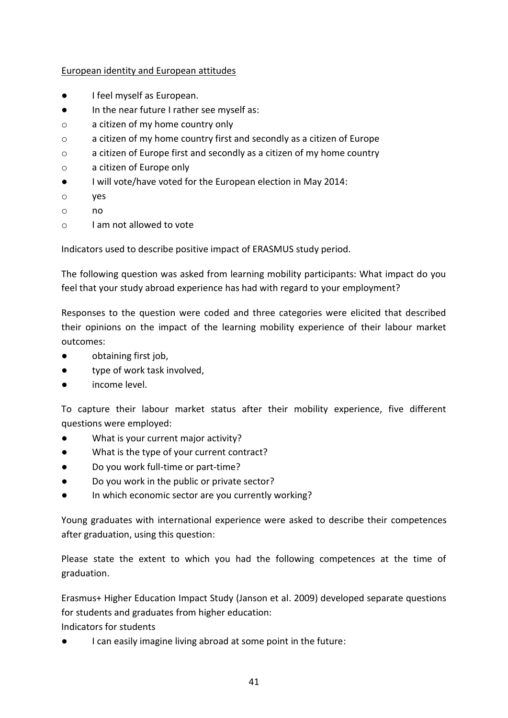## European identity and European attitudes

- I feel myself as European.
- In the near future I rather see myself as:
- o a citizen of my home country only
- o a citizen of my home country first and secondly as a citizen of Europe
- o a citizen of Europe first and secondly as a citizen of my home country
- o a citizen of Europe only
- I will vote/have voted for the European election in May 2014:
- o yes
- o no
- o I am not allowed to vote

Indicators used to describe positive impact of ERASMUS study period.

The following question was asked from learning mobility participants: What impact do you feel that your study abroad experience has had with regard to your employment?

Responses to the question were coded and three categories were elicited that described their opinions on the impact of the learning mobility experience of their labour market outcomes:

- obtaining first job,
- type of work task involved,
- income level.

To capture their labour market status after their mobility experience, five different questions were employed:

- What is your current major activity?
- What is the type of your current contract?
- Do you work full-time or part-time?
- Do you work in the public or private sector?
- In which economic sector are you currently working?

Young graduates with international experience were asked to describe their competences after graduation, using this question:

Please state the extent to which you had the following competences at the time of graduation.

Erasmus+ Higher Education Impact Study (Janson et al. 2009) developed separate questions for students and graduates from higher education:

Indicators for students

I can easily imagine living abroad at some point in the future: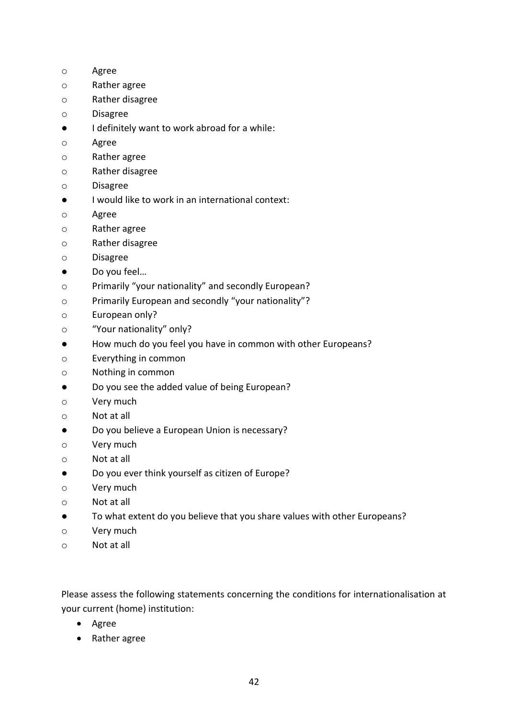- o Agree
- o Rather agree
- o Rather disagree
- o Disagree
- I definitely want to work abroad for a while:
- o Agree
- o Rather agree
- o Rather disagree
- o Disagree
- I would like to work in an international context:
- o Agree
- o Rather agree
- o Rather disagree
- o Disagree
- Do you feel…
- o Primarily "your nationality" and secondly European?
- o Primarily European and secondly "your nationality"?
- o European only?
- o "Your nationality" only?
- How much do you feel you have in common with other Europeans?
- o Everything in common
- o Nothing in common
- Do you see the added value of being European?
- o Very much
- o Not at all
- Do you believe a European Union is necessary?
- o Very much
- o Not at all
- Do you ever think yourself as citizen of Europe?
- o Very much
- o Not at all
- To what extent do you believe that you share values with other Europeans?
- o Very much
- o Not at all

Please assess the following statements concerning the conditions for internationalisation at your current (home) institution:

- Agree
- Rather agree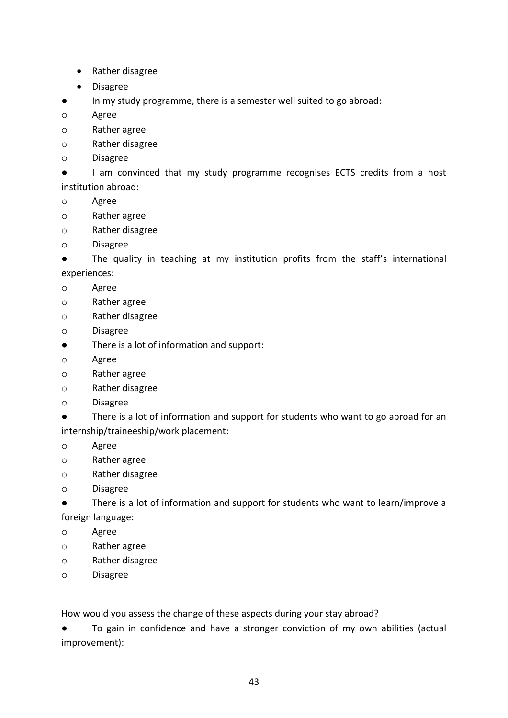- Rather disagree
- Disagree
- In my study programme, there is a semester well suited to go abroad:
- o Agree
- o Rather agree
- o Rather disagree
- o Disagree

I am convinced that my study programme recognises ECTS credits from a host institution abroad:

- o Agree
- o Rather agree
- o Rather disagree
- o Disagree

The quality in teaching at my institution profits from the staff's international experiences:

- o Agree
- o Rather agree
- o Rather disagree
- o Disagree
- There is a lot of information and support:
- o Agree
- o Rather agree
- o Rather disagree
- o Disagree
- There is a lot of information and support for students who want to go abroad for an internship/traineeship/work placement:
- o Agree
- o Rather agree
- o Rather disagree
- o Disagree
- There is a lot of information and support for students who want to learn/improve a foreign language:
- o Agree
- o Rather agree
- o Rather disagree
- o Disagree

How would you assess the change of these aspects during your stay abroad?

To gain in confidence and have a stronger conviction of my own abilities (actual improvement):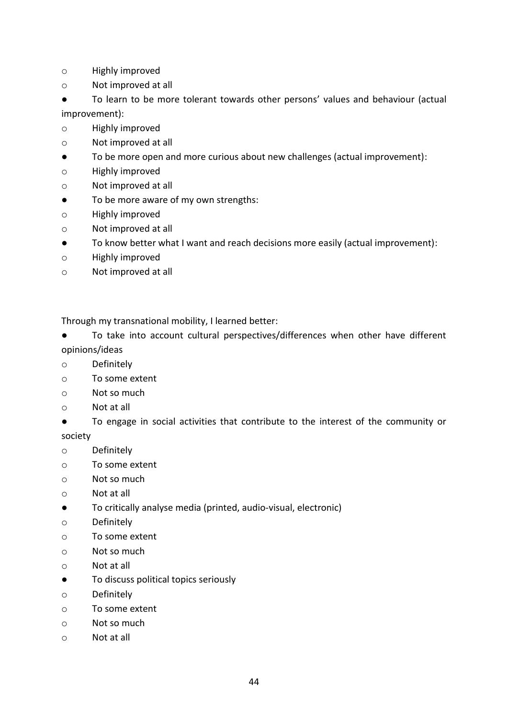- o Highly improved
- o Not improved at all
- To learn to be more tolerant towards other persons' values and behaviour (actual improvement):
- o Highly improved
- o Not improved at all
- To be more open and more curious about new challenges (actual improvement):
- o Highly improved
- o Not improved at all
- To be more aware of my own strengths:
- o Highly improved
- o Not improved at all
- To know better what I want and reach decisions more easily (actual improvement):
- o Highly improved
- o Not improved at all

Through my transnational mobility, I learned better:

- To take into account cultural perspectives/differences when other have different opinions/ideas
- o Definitely
- o To some extent
- o Not so much
- o Not at all
- To engage in social activities that contribute to the interest of the community or society
- o Definitely
- o To some extent
- o Not so much
- o Not at all
- To critically analyse media (printed, audio-visual, electronic)
- o Definitely
- o To some extent
- o Not so much
- o Not at all
- To discuss political topics seriously
- o Definitely
- o To some extent
- o Not so much
- o Not at all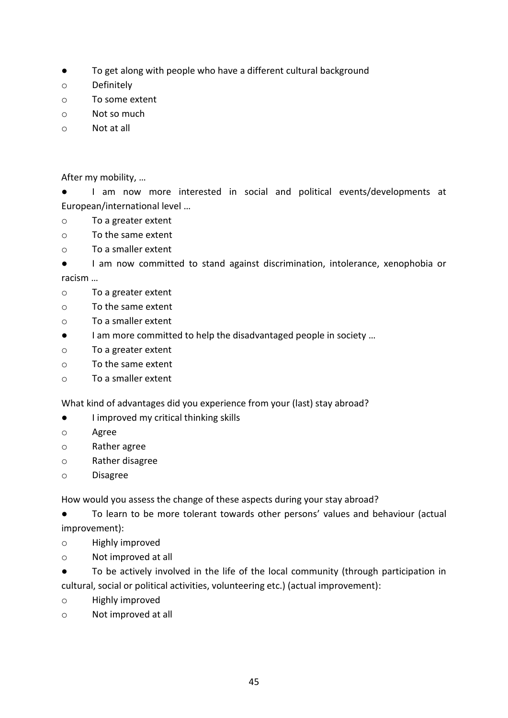- To get along with people who have a different cultural background
- o Definitely
- o To some extent
- o Not so much
- o Not at all

After my mobility, …

● I am now more interested in social and political events/developments at European/international level …

- o To a greater extent
- o To the same extent
- o To a smaller extent

● I am now committed to stand against discrimination, intolerance, xenophobia or racism …

- o To a greater extent
- o To the same extent
- o To a smaller extent
- I am more committed to help the disadvantaged people in society …
- o To a greater extent
- o To the same extent
- o To a smaller extent

What kind of advantages did you experience from your (last) stay abroad?

- I improved my critical thinking skills
- o Agree
- o Rather agree
- o Rather disagree
- o Disagree

How would you assess the change of these aspects during your stay abroad?

● To learn to be more tolerant towards other persons' values and behaviour (actual improvement):

- o Highly improved
- o Not improved at all

● To be actively involved in the life of the local community (through participation in cultural, social or political activities, volunteering etc.) (actual improvement):

- o Highly improved
- o Not improved at all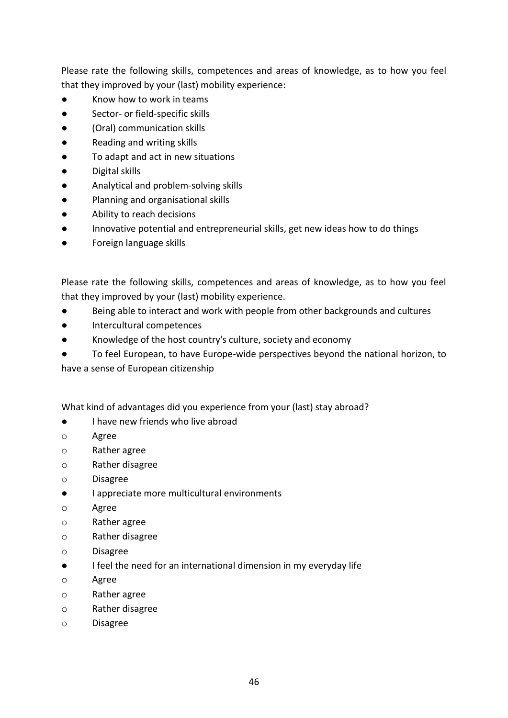Please rate the following skills, competences and areas of knowledge, as to how you feel that they improved by your (last) mobility experience:

- Know how to work in teams
- Sector- or field-specific skills
- (Oral) communication skills
- Reading and writing skills
- To adapt and act in new situations
- Digital skills
- Analytical and problem-solving skills
- Planning and organisational skills
- Ability to reach decisions
- Innovative potential and entrepreneurial skills, get new ideas how to do things
- Foreign language skills

Please rate the following skills, competences and areas of knowledge, as to how you feel that they improved by your (last) mobility experience.

- Being able to interact and work with people from other backgrounds and cultures
- Intercultural competences
- Knowledge of the host country's culture, society and economy
- To feel European, to have Europe-wide perspectives beyond the national horizon, to

have a sense of European citizenship

What kind of advantages did you experience from your (last) stay abroad?

- I have new friends who live abroad
- o Agree
- o Rather agree
- o Rather disagree
- o Disagree
- I appreciate more multicultural environments
- o Agree
- o Rather agree
- o Rather disagree
- o Disagree
- I feel the need for an international dimension in my everyday life
- o Agree
- o Rather agree
- o Rather disagree
- o Disagree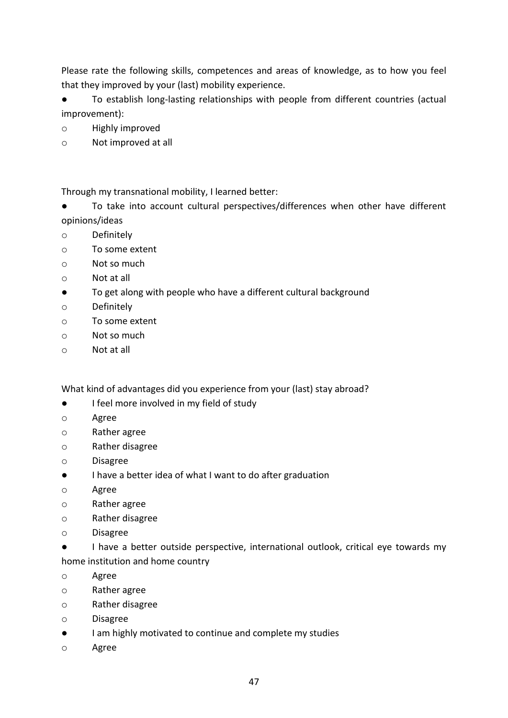Please rate the following skills, competences and areas of knowledge, as to how you feel that they improved by your (last) mobility experience.

● To establish long-lasting relationships with people from different countries (actual improvement):

- o Highly improved
- o Not improved at all

Through my transnational mobility, I learned better:

● To take into account cultural perspectives/differences when other have different opinions/ideas

- o Definitely
- o To some extent
- o Not so much
- o Not at all
- To get along with people who have a different cultural background
- o Definitely
- o To some extent
- o Not so much
- o Not at all

What kind of advantages did you experience from your (last) stay abroad?

- I feel more involved in my field of study
- o Agree
- o Rather agree
- o Rather disagree
- o Disagree
- I have a better idea of what I want to do after graduation
- o Agree
- o Rather agree
- o Rather disagree
- o Disagree
- I have a better outside perspective, international outlook, critical eye towards my home institution and home country
- o Agree
- o Rather agree
- o Rather disagree
- o Disagree
- I am highly motivated to continue and complete my studies
- o Agree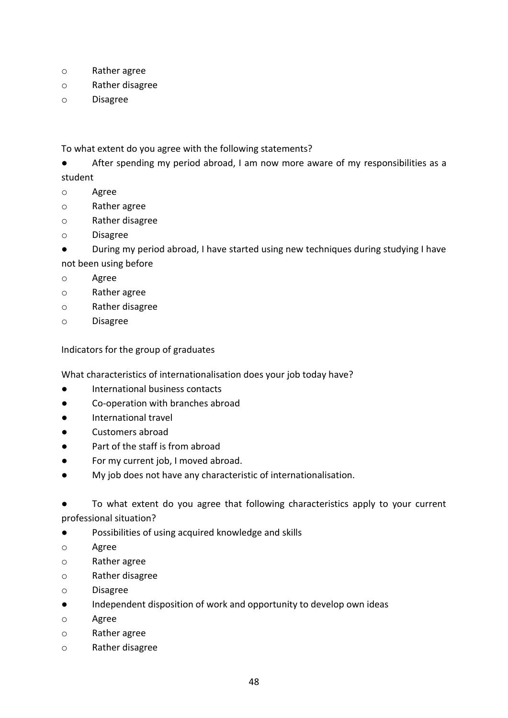- o Rather agree
- o Rather disagree
- o Disagree

To what extent do you agree with the following statements?

- After spending my period abroad, I am now more aware of my responsibilities as a
- student
- o Agree
- o Rather agree
- o Rather disagree
- o Disagree
- During my period abroad, I have started using new techniques during studying I have

not been using before

- o Agree
- o Rather agree
- o Rather disagree
- o Disagree

Indicators for the group of graduates

What characteristics of internationalisation does your job today have?

- International business contacts
- Co-operation with branches abroad
- International travel
- Customers abroad
- Part of the staff is from abroad
- For my current job, I moved abroad.
- My job does not have any characteristic of internationalisation.
- To what extent do you agree that following characteristics apply to your current professional situation?
- Possibilities of using acquired knowledge and skills
- o Agree
- o Rather agree
- o Rather disagree
- o Disagree
- Independent disposition of work and opportunity to develop own ideas
- o Agree
- o Rather agree
- o Rather disagree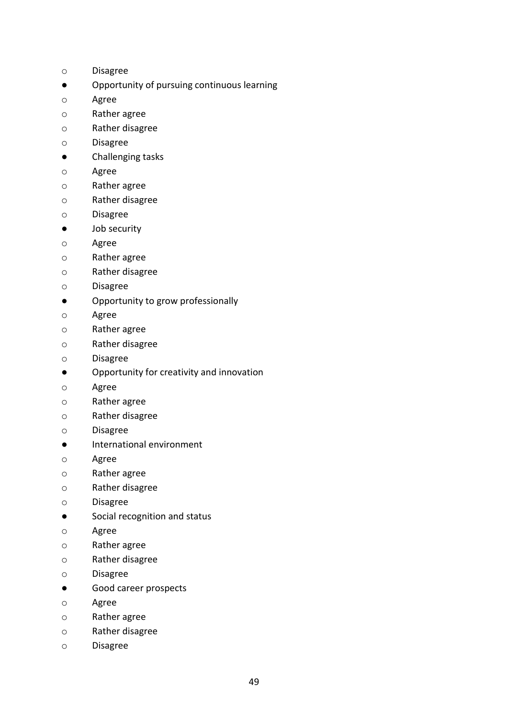- o Disagree
- Opportunity of pursuing continuous learning
- o Agree
- o Rather agree
- o Rather disagree
- o Disagree
- Challenging tasks
- o Agree
- o Rather agree
- o Rather disagree
- o Disagree
- Job security
- o Agree
- o Rather agree
- o Rather disagree
- o Disagree
- Opportunity to grow professionally
- o Agree
- o Rather agree
- o Rather disagree
- o Disagree
- Opportunity for creativity and innovation
- o Agree
- o Rather agree
- o Rather disagree
- o Disagree
- International environment
- o Agree
- o Rather agree
- o Rather disagree
- o Disagree
- Social recognition and status
- o Agree
- o Rather agree
- o Rather disagree
- o Disagree
- Good career prospects
- o Agree
- o Rather agree
- o Rather disagree
- o Disagree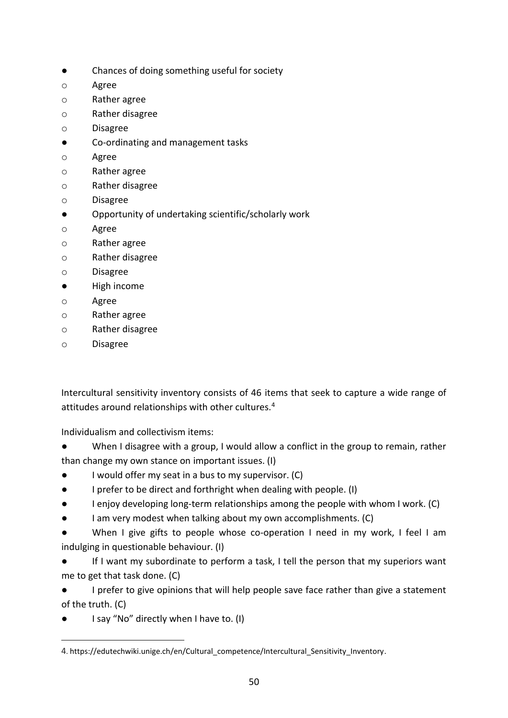- Chances of doing something useful for society
- o Agree
- o Rather agree
- o Rather disagree
- o Disagree
- Co-ordinating and management tasks
- o Agree
- o Rather agree
- o Rather disagree
- o Disagree
- Opportunity of undertaking scientific/scholarly work
- o Agree
- o Rather agree
- o Rather disagree
- o Disagree
- High income
- o Agree
- o Rather agree
- o Rather disagree
- o Disagree

Intercultural sensitivity inventory consists of 46 items that seek to capture a wide range of attitudes around relationships with other cultures.<sup>4</sup>

Individualism and collectivism items:

- When I disagree with a group, I would allow a conflict in the group to remain, rather than change my own stance on important issues. (I)
- I would offer my seat in a bus to my supervisor. (C)
- I prefer to be direct and forthright when dealing with people. (I)
- I enjoy developing long-term relationships among the people with whom I work. (C)
- I am very modest when talking about my own accomplishments.  $(C)$
- When I give gifts to people whose co-operation I need in my work, I feel I am indulging in questionable behaviour. (I)
- If I want my subordinate to perform a task, I tell the person that my superiors want me to get that task done. (C)
- I prefer to give opinions that will help people save face rather than give a statement of the truth. (C)
- I say "No" directly when I have to. (I)

<sup>4</sup>. [https://edutechwiki.unige.ch/en/Cultural\\_competence/Intercultural\\_Sensitivity\\_Inventory.](https://edutechwiki.unige.ch/en/Cultural_competence/Intercultural_Sensitivity_Inventory)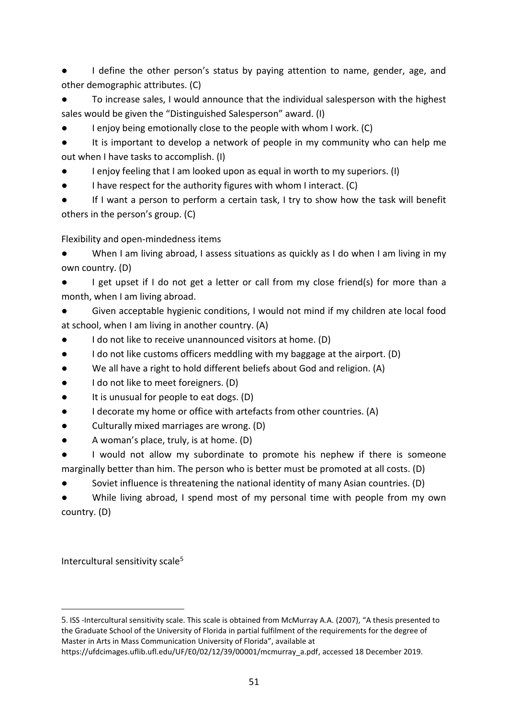I define the other person's status by paying attention to name, gender, age, and other demographic attributes. (C)

To increase sales, I would announce that the individual salesperson with the highest sales would be given the "Distinguished Salesperson" award. (I)

I enjoy being emotionally close to the people with whom I work. (C)

● It is important to develop a network of people in my community who can help me out when I have tasks to accomplish. (I)

I enjoy feeling that I am looked upon as equal in worth to my superiors. (I)

I have respect for the authority figures with whom I interact.  $(C)$ 

If I want a person to perform a certain task, I try to show how the task will benefit others in the person's group. (C)

## Flexibility and open-mindedness items

When I am living abroad, I assess situations as quickly as I do when I am living in my own country. (D)

I get upset if I do not get a letter or call from my close friend(s) for more than a month, when I am living abroad.

Given acceptable hygienic conditions, I would not mind if my children ate local food at school, when I am living in another country. (A)

- I do not like to receive unannounced visitors at home. (D)
- I do not like customs officers meddling with my baggage at the airport. (D)
- We all have a right to hold different beliefs about God and religion. (A)
- I do not like to meet foreigners. (D)
- It is unusual for people to eat dogs.  $(D)$
- I decorate my home or office with artefacts from other countries. (A)
- Culturally mixed marriages are wrong. (D)
- A woman's place, truly, is at home. (D)
- I would not allow my subordinate to promote his nephew if there is someone marginally better than him. The person who is better must be promoted at all costs. (D)
- Soviet influence is threatening the national identity of many Asian countries. (D)

While living abroad, I spend most of my personal time with people from my own country. (D)

Intercultural sensitivity scale<sup>5</sup>

<sup>5</sup>. ISS -Intercultural sensitivity scale. This scale is obtained from McMurray A.A. (2007), "A thesis presented to the Graduate School of the University of Florida in partial fulfilment of the requirements for the degree of Master in Arts in Mass Communication University of Florida", available at

[https://ufdcimages.uflib.ufl.edu/UF/E0/02/12/39/00001/mcmurray\\_a.pdf,](https://ufdcimages.uflib.ufl.edu/UF/E0/02/12/39/00001/mcmurray_a.pdf) accessed 18 December 2019.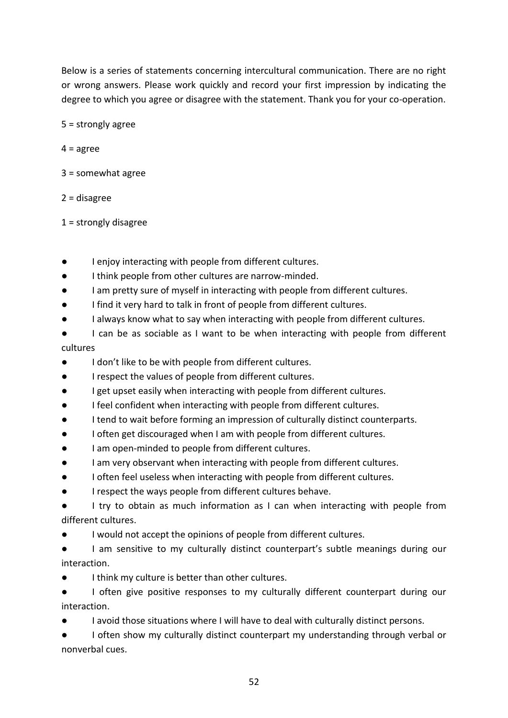Below is a series of statements concerning intercultural communication. There are no right or wrong answers. Please work quickly and record your first impression by indicating the degree to which you agree or disagree with the statement. Thank you for your co-operation.

5 = strongly agree

- $4 = \text{agree}$
- 3 = somewhat agree
- 2 = disagree
- $1 =$  strongly disagree
- I enjoy interacting with people from different cultures.
- I think people from other cultures are narrow-minded.
- I am pretty sure of myself in interacting with people from different cultures.
- I find it very hard to talk in front of people from different cultures.
- I always know what to say when interacting with people from different cultures.
- I can be as sociable as I want to be when interacting with people from different cultures
- I don't like to be with people from different cultures.
- I respect the values of people from different cultures.
- I get upset easily when interacting with people from different cultures.
- I feel confident when interacting with people from different cultures.
- I tend to wait before forming an impression of culturally distinct counterparts.
- I often get discouraged when I am with people from different cultures.
- I am open-minded to people from different cultures.
- I am very observant when interacting with people from different cultures.
- I often feel useless when interacting with people from different cultures.
- I respect the ways people from different cultures behave.

I try to obtain as much information as I can when interacting with people from different cultures.

- I would not accept the opinions of people from different cultures.
- I am sensitive to my culturally distinct counterpart's subtle meanings during our interaction.
- I think my culture is better than other cultures.
- I often give positive responses to my culturally different counterpart during our interaction.
- I avoid those situations where I will have to deal with culturally distinct persons.

I often show my culturally distinct counterpart my understanding through verbal or nonverbal cues.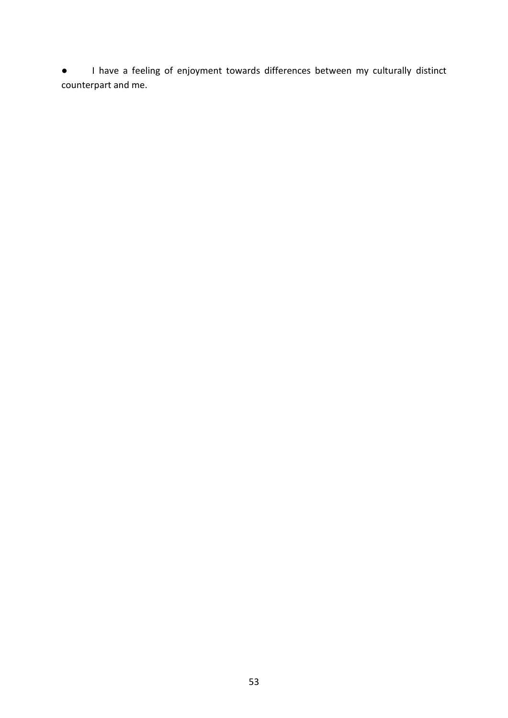● I have a feeling of enjoyment towards differences between my culturally distinct counterpart and me.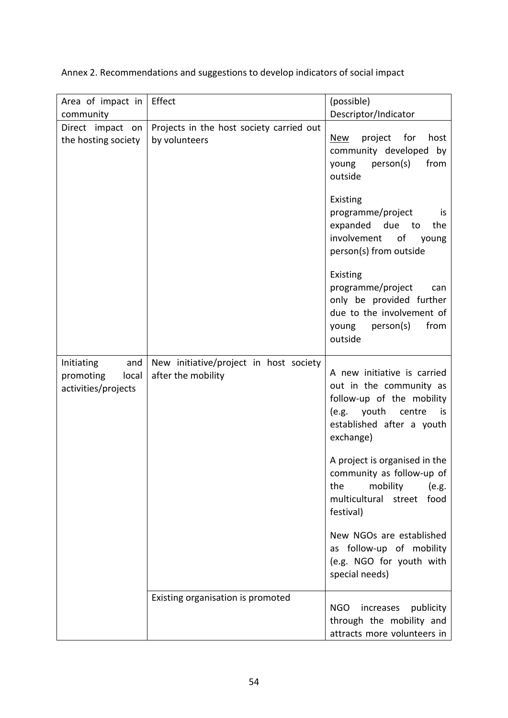| Area of impact in<br>community                                 | Effect                                                       | (possible)<br>Descriptor/Indicator                                                                                                                           |
|----------------------------------------------------------------|--------------------------------------------------------------|--------------------------------------------------------------------------------------------------------------------------------------------------------------|
| Direct impact on<br>the hosting society                        | Projects in the host society carried out<br>by volunteers    | project for<br><u>New</u><br>host<br>community developed by<br>young<br>person(s)<br>from<br>outside                                                         |
|                                                                |                                                              | Existing<br>programme/project<br>is.<br>expanded<br>due<br>the<br>to<br>involvement<br>of<br>young<br>person(s) from outside                                 |
|                                                                |                                                              | Existing<br>programme/project<br>can<br>only be provided further<br>due to the involvement of<br>young<br>person(s)<br>from<br>outside                       |
| Initiating<br>and<br>promoting<br>local<br>activities/projects | New initiative/project in host society<br>after the mobility | A new initiative is carried<br>out in the community as<br>follow-up of the mobility<br>(e.g. youth<br>centre<br>is<br>established after a youth<br>exchange) |
|                                                                |                                                              | A project is organised in the<br>community as follow-up of<br>mobility<br>the<br>(e.g.<br>multicultural street<br>food<br>festival)                          |
|                                                                |                                                              | New NGOs are established<br>as follow-up of mobility<br>(e.g. NGO for youth with<br>special needs)                                                           |
|                                                                | Existing organisation is promoted                            | <b>NGO</b><br>increases<br>publicity<br>through the mobility and<br>attracts more volunteers in                                                              |

<span id="page-53-0"></span>Annex 2. Recommendations and suggestions to develop indicators of social impact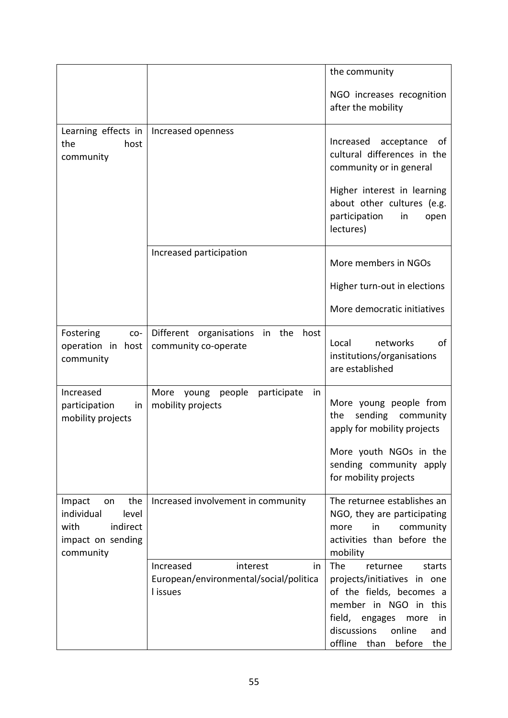|                                                                                                  |                                                                                    | the community                                                                                                                                                                                            |
|--------------------------------------------------------------------------------------------------|------------------------------------------------------------------------------------|----------------------------------------------------------------------------------------------------------------------------------------------------------------------------------------------------------|
|                                                                                                  |                                                                                    | NGO increases recognition<br>after the mobility                                                                                                                                                          |
| Learning effects in<br>the<br>host<br>community                                                  | Increased openness                                                                 | Increased acceptance<br>0t<br>cultural differences in the<br>community or in general<br>Higher interest in learning<br>about other cultures (e.g.<br>participation<br>in<br>open<br>lectures)            |
|                                                                                                  | Increased participation                                                            | More members in NGOs<br>Higher turn-out in elections<br>More democratic initiatives                                                                                                                      |
| Fostering<br>$CO-$<br>operation in host<br>community                                             | Different organisations<br>the<br>in<br>host<br>community co-operate               | networks<br>of<br>Local<br>institutions/organisations<br>are established                                                                                                                                 |
| Increased<br>participation<br>in<br>mobility projects                                            | More young<br>people<br>participate<br>in<br>mobility projects                     | More young people from<br>sending community<br>the<br>apply for mobility projects<br>More youth NGOs in the<br>sending community apply<br>for mobility projects                                          |
| Impact<br>the<br>on<br>individual<br>level<br>with<br>indirect<br>impact on sending<br>community | Increased involvement in community                                                 | The returnee establishes an<br>NGO, they are participating<br>in<br>community<br>more<br>activities than before the<br>mobility                                                                          |
|                                                                                                  | Increased<br>interest<br>in.<br>European/environmental/social/politica<br>I issues | The<br>returnee<br>starts<br>projects/initiatives in one<br>of the fields, becomes a<br>member in NGO in this<br>field, engages more<br>in<br>online<br>discussions<br>and<br>offline than before<br>the |